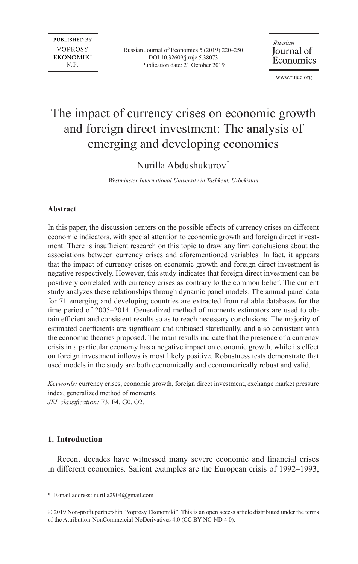**PUBLISHED BY VOPROSY EKONOMIKI** N.P.

Russian Journal of Economics 5 (2019) 220–250 DOI 10.32609/j.ruje.5.38073 Publication date: 21 October 2019

Russian Journal of Economics

www.rujec.org

# The impact of currency crises on economic growth and foreign direct investment: The analysis of emerging and developing economies

# Nurilla Abdushukurov\*

*Westminster International University in Tashkent, Uzbekistan*

#### **Abstract**

In this paper, the discussion centers on the possible effects of currency crises on different economic indicators, with special attention to economic growth and foreign direct investment. There is insufficient research on this topic to draw any firm conclusions about the associations between currency crises and aforementioned variables. In fact, it appears that the impact of currency crises on economic growth and foreign direct investment is negative respectively. However, this study indicates that foreign direct investment can be positively correlated with currency crises as contrary to the common belief. The current study analyzes these relationships through dynamic panel models. The annual panel data for 71 emerging and developing countries are extracted from reliable databases for the time period of 2005–2014. Generalized method of moments estimators are used to obtain efficient and consistent results so as to reach necessary conclusions. The majority of estimated coefficients are significant and unbiased statistically, and also consistent with the economic theories proposed. The main results indicate that the presence of a currency crisis in a particular economy has a negative impact on economic growth, while its effect on foreign investment inflows is most likely positive. Robustness tests demonstrate that used models in the study are both economically and econometrically robust and valid.

*Keywords:* currency crises, economic growth, foreign direct investment, exchange market pressure index, generalized method of moments.

*JEL classification:* F3, F4, G0, O2.

# **1. Introduction**

Recent decades have witnessed many severe economic and financial crises in different economies. Salient examples are the European crisis of 1992–1993,

<sup>\*</sup> E-mail address: [nurilla2904@gmail.com](mailto:nurilla2904@gmail.com)

<sup>© 2019</sup> Non-profit partnership "Voprosy Ekonomiki". This is an open access article distributed under the terms of the [Attribution-NonCommercial-NoDerivatives 4.0 \(CC BY-NC-ND 4.0\)](http://creativecommons.org/licenses/by-nc-nd/4.0/).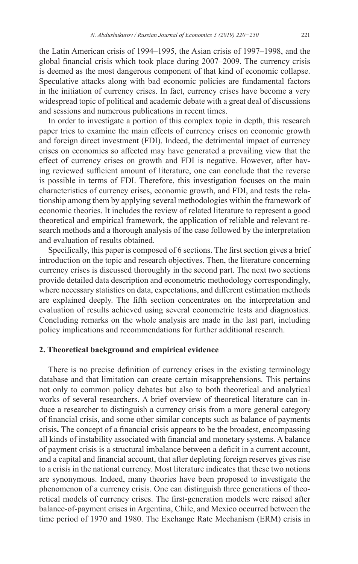the Latin American crisis of 1994–1995, the Asian crisis of 1997–1998, and the global financial crisis which took place during 2007–2009. The currency crisis is deemed as the most dangerous component of that kind of economic collapse. Speculative attacks along with bad economic policies are fundamental factors in the initiation of currency crises. In fact, currency crises have become a very widespread topic of political and academic debate with a great deal of discussions and sessions and numerous publications in recent times.

In order to investigate a portion of this complex topic in depth, this research paper tries to examine the main effects of currency crises on economic growth and foreign direct investment (FDI). Indeed, the detrimental impact of currency crises on economies so affected may have generated a prevailing view that the effect of currency crises on growth and FDI is negative. However, after having reviewed sufficient amount of literature, one can conclude that the reverse is possible in terms of FDI. Therefore, this investigation focuses on the main characteristics of currency crises, economic growth, and FDI, and tests the relationship among them by applying several methodologies within the framework of economic theories. It includes the review of related literature to represent a good theoretical and empirical framework, the application of reliable and relevant research methods and a thorough analysis of the case followed by the interpretation and evaluation of results obtained.

Specifically, this paper is composed of 6 sections. The first section gives a brief introduction on the topic and research objectives. Then, the literature concerning currency crises is discussed thoroughly in the second part. The next two sections provide detailed data description and econometric methodology correspondingly, where necessary statistics on data, expectations, and different estimation methods are explained deeply. The fifth section concentrates on the interpretation and evaluation of results achieved using several econometric tests and diagnostics. Concluding remarks on the whole analysis are made in the last part, including policy implications and recommendations for further additional research.

# **2. Theoretical background and empirical evidence**

There is no precise definition of currency crises in the existing terminology database and that limitation can create certain misapprehensions. This pertains not only to common policy debates but also to both theoretical and analytical works of several researchers. A brief overview of theoretical literature can induce a researcher to distinguish a currency crisis from a more general category of financial crisis, and some other similar concepts such as balance of payments crisis**.** The concept of a financial crisis appears to be the broadest, encompassing all kinds of instability associated with financial and monetary systems. A balance of payment crisis is a structural imbalance between a deficit in a current account, and a capital and financial account, that after depleting foreign reserves gives rise to a crisis in the national currency. Most literature indicates that these two notions are synonymous. Indeed, many theories have been proposed to investigate the phenomenon of a currency crisis. One can distinguish three generations of theoretical models of currency crises. The first-generation models were raised after balance-of-payment crises in Argentina, Chile, and Mexico occurred between the time period of 1970 and 1980. The Exchange Rate Mechanism (ERM) crisis in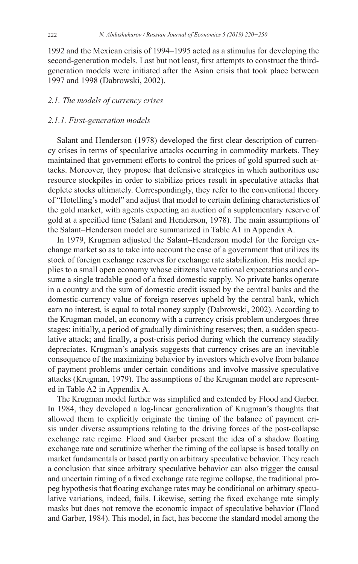1992 and the Mexican crisis of 1994–1995 acted as a stimulus for developing the second-generation models. Last but not least, first attempts to construct the thirdgeneration models were initiated after the Asian crisis that took place between 1997 and 1998 (Dabrowski, 2002).

# *2.1. The models of currency crises*

# *2.1.1. First-generation models*

Salant and Henderson (1978) developed the first clear description of currency crises in terms of speculative attacks occurring in commodity markets. They maintained that government efforts to control the prices of gold spurred such attacks. Moreover, they propose that defensive strategies in which authorities use resource stockpiles in order to stabilize prices result in speculative attacks that deplete stocks ultimately. Correspondingly, they refer to the conventional theory of "Hotelling's model" and adjust that model to certain defining characteristics of the gold market, with agents expecting an auction of a supplementary reserve of gold at a specified time (Salant and Henderson, 1978). The main assumptions of the Salant–Henderson model are summarized in Table A1 in Appendix A.

In 1979, Krugman adjusted the Salant–Henderson model for the foreign exchange market so as to take into account the case of a government that utilizes its stock of foreign exchange reserves for exchange rate stabilization. His model applies to a small open economy whose citizens have rational expectations and consume a single tradable good of a fixed domestic supply. No private banks operate in a country and the sum of domestic credit issued by the central banks and the domestic-currency value of foreign reserves upheld by the central bank, which earn no interest, is equal to total money supply (Dabrowski, 2002). According to the Krugman model, an economy with a currency crisis problem undergoes three stages: initially, a period of gradually diminishing reserves; then, a sudden speculative attack; and finally, a post-crisis period during which the currency steadily depreciates. Krugman's analysis suggests that currency crises are an inevitable consequence of the maximizing behavior by investors which evolve from balance of payment problems under certain conditions and involve massive speculative attacks (Krugman, 1979). The assumptions of the Krugman model are represented in Table A2 in Appendix A.

The Krugman model further was simplified and extended by Flood and Garber. In 1984, they developed a log-linear generalization of Krugman's thoughts that allowed them to explicitly originate the timing of the balance of payment crisis under diverse assumptions relating to the driving forces of the post-collapse exchange rate regime. Flood and Garber present the idea of a shadow floating exchange rate and scrutinize whether the timing of the collapse is based totally on market fundamentals or based partly on arbitrary speculative behavior. They reach a conclusion that since arbitrary speculative behavior can also trigger the causal and uncertain timing of a fixed exchange rate regime collapse, the traditional propeg hypothesis that floating exchange rates may be conditional on arbitrary speculative variations, indeed, fails. Likewise, setting the fixed exchange rate simply masks but does not remove the economic impact of speculative behavior (Flood and Garber, 1984). This model, in fact, has become the standard model among the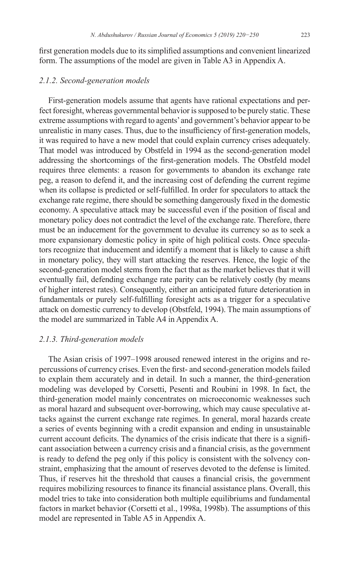first generation models due to its simplified assumptions and convenient linearized form. The assumptions of the model are given in Table A3 in Appendix A.

#### *2.1.2. Second-generation models*

First-generation models assume that agents have rational expectations and perfect foresight, whereas governmental behavior is supposed to be purely static. These extreme assumptions with regard to agents' and government's behavior appear to be unrealistic in many cases. Thus, due to the insufficiency of first-generation models, it was required to have a new model that could explain currency crises adequately. That model was introduced by Obstfeld in 1994 as the second-generation model addressing the shortcomings of the first-generation models. The Obstfeld model requires three elements: a reason for governments to abandon its exchange rate peg, a reason to defend it, and the increasing cost of defending the current regime when its collapse is predicted or self-fulfilled. In order for speculators to attack the exchange rate regime, there should be something dangerously fixed in the domestic economy. A speculative attack may be successful even if the position of fiscal and monetary policy does not contradict the level of the exchange rate. Therefore, there must be an inducement for the government to devalue its currency so as to seek a more expansionary domestic policy in spite of high political costs. Once speculators recognize that inducement and identify a moment that is likely to cause a shift in monetary policy, they will start attacking the reserves. Hence, the logic of the second-generation model stems from the fact that as the market believes that it will eventually fail, defending exchange rate parity can be relatively costly (by means of higher interest rates). Consequently, either an anticipated future deterioration in fundamentals or purely self-fulfilling foresight acts as a trigger for a speculative attack on domestic currency to develop (Obstfeld, 1994). The main assumptions of the model are summarized in Table A4 in Appendix A.

#### *2.1.3. Third-generation models*

The Asian crisis of 1997–1998 aroused renewed interest in the origins and repercussions of currency crises. Even the first- and second-generation models failed to explain them accurately and in detail. In such a manner, the third-generation modeling was developed by Corsetti, Pesenti and Roubini in 1998. In fact, the third-generation model mainly concentrates on microeconomic weaknesses such as moral hazard and subsequent over-borrowing, which may cause speculative attacks against the current exchange rate regimes. In general, moral hazards create a series of events beginning with a credit expansion and ending in unsustainable current account deficits. The dynamics of the crisis indicate that there is a significant association between a currency crisis and a financial crisis, as the government is ready to defend the peg only if this policy is consistent with the solvency constraint, emphasizing that the amount of reserves devoted to the defense is limited. Thus, if reserves hit the threshold that causes a financial crisis, the government requires mobilizing resources to finance its financial assistance plans. Overall, this model tries to take into consideration both multiple equilibriums and fundamental factors in market behavior (Corsetti et al., 1998a, 1998b). The assumptions of this model are represented in Table A5 in Appendix A.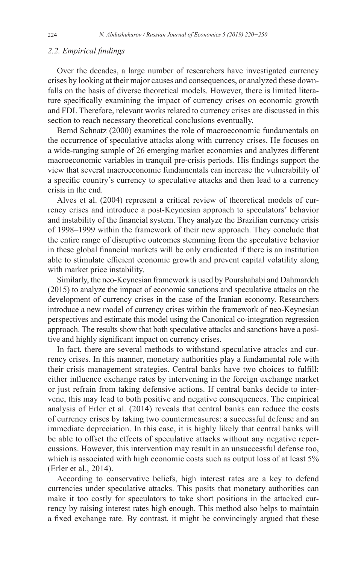### *2.2. Empirical findings*

Over the decades, a large number of researchers have investigated currency crises by looking at their major causes and consequences, or analyzed these downfalls on the basis of diverse theoretical models. However, there is limited literature specifically examining the impact of currency crises on economic growth and FDI. Therefore, relevant works related to currency crises are discussed in this section to reach necessary theoretical conclusions eventually.

Bernd Schnatz (2000) examines the role of macroeconomic fundamentals on the occurrence of speculative attacks along with currency crises. He focuses on a wide-ranging sample of 26 emerging market economies and analyzes different macroeconomic variables in tranquil pre-crisis periods. His findings support the view that several macroeconomic fundamentals can increase the vulnerability of a specific country's currency to speculative attacks and then lead to a currency crisis in the end.

Alves et al. (2004) represent a critical review of theoretical models of currency crises and introduce a post-Keynesian approach to speculators' behavior and instability of the financial system. They analyze the Brazilian currency crisis of 1998–1999 within the framework of their new approach. They conclude that the entire range of disruptive outcomes stemming from the speculative behavior in these global financial markets will be only eradicated if there is an institution able to stimulate efficient economic growth and prevent capital volatility along with market price instability.

Similarly, the neo-Keynesian framework is used by Pourshahabi and Dahmardeh (2015) to analyze the impact of economic sanctions and speculative attacks on the development of currency crises in the case of the Iranian economy. Researchers introduce a new model of currency crises within the framework of neo-Keynesian perspectives and estimate this model using the Canonical co-integration regression approach. The results show that both speculative attacks and sanctions have a positive and highly significant impact on currency crises.

In fact, there are several methods to withstand speculative attacks and currency crises. In this manner, monetary authorities play a fundamental role with their crisis management strategies. Central banks have two choices to fulfill: either influence exchange rates by intervening in the foreign exchange market or just refrain from taking defensive actions. If central banks decide to intervene, this may lead to both positive and negative consequences. The empirical analysis of Erler et al. (2014) reveals that central banks can reduce the costs of currency crises by taking two countermeasures: a successful defense and an immediate depreciation. In this case, it is highly likely that central banks will be able to offset the effects of speculative attacks without any negative repercussions. However, this intervention may result in an unsuccessful defense too, which is associated with high economic costs such as output loss of at least 5% (Erler et al., 2014).

According to conservative beliefs, high interest rates are a key to defend currencies under speculative attacks. This posits that monetary authorities can make it too costly for speculators to take short positions in the attacked currency by raising interest rates high enough. This method also helps to maintain a fixed exchange rate. By contrast, it might be convincingly argued that these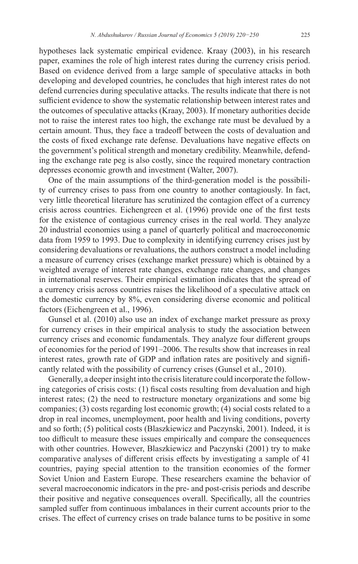hypotheses lack systematic empirical evidence. Kraay (2003), in his research paper, examines the role of high interest rates during the currency crisis period. Based on evidence derived from a large sample of speculative attacks in both developing and developed countries, he concludes that high interest rates do not defend currencies during speculative attacks. The results indicate that there is not sufficient evidence to show the systematic relationship between interest rates and the outcomes of speculative attacks (Kraay, 2003). If monetary authorities decide not to raise the interest rates too high, the exchange rate must be devalued by a certain amount. Thus, they face a tradeoff between the costs of devaluation and the costs of fixed exchange rate defense. Devaluations have negative effects on the government's political strength and monetary credibility. Meanwhile, defending the exchange rate peg is also costly, since the required monetary contraction depresses economic growth and investment (Walter, 2007).

One of the main assumptions of the third-generation model is the possibility of currency crises to pass from one country to another contagiously. In fact, very little theoretical literature has scrutinized the contagion effect of a currency crisis across countries. Eichengreen et al. (1996) provide one of the first tests for the existence of contagious currency crises in the real world. They analyze 20 industrial economies using a panel of quarterly political and macroeconomic data from 1959 to 1993. Due to complexity in identifying currency crises just by considering devaluations or revaluations, the authors construct a model including a measure of currency crises (exchange market pressure) which is obtained by a weighted average of interest rate changes, exchange rate changes, and changes in international reserves. Their empirical estimation indicates that the spread of a currency crisis across countries raises the likelihood of a speculative attack on the domestic currency by 8%, even considering diverse economic and political factors (Eichengreen et al., 1996).

Gunsel et al. (2010) also use an index of exchange market pressure as proxy for currency crises in their empirical analysis to study the association between currency crises and economic fundamentals. They analyze four different groups of economies for the period of 1991–2006. The results show that increases in real interest rates, growth rate of GDP and inflation rates are positively and significantly related with the possibility of currency crises (Gunsel et al., 2010).

Generally, a deeper insight into the crisis literature could incorporate the following categories of crisis costs: (1) fiscal costs resulting from devaluation and high interest rates; (2) the need to restructure monetary organizations and some big companies; (3) costs regarding lost economic growth; (4) social costs related to a drop in real incomes, unemployment, poor health and living conditions, poverty and so forth; (5) political costs (Blaszkiewicz and Paczynski, 2001). Indeed, it is too difficult to measure these issues empirically and compare the consequences with other countries. However, Blaszkiewicz and Paczynski (2001) try to make comparative analyses of different crisis effects by investigating a sample of 41 countries, paying special attention to the transition economies of the former Soviet Union and Eastern Europe. These researchers examine the behavior of several macroeconomic indicators in the pre- and post-crisis periods and describe their positive and negative consequences overall. Specifically, all the countries sampled suffer from continuous imbalances in their current accounts prior to the crises. The effect of currency crises on trade balance turns to be positive in some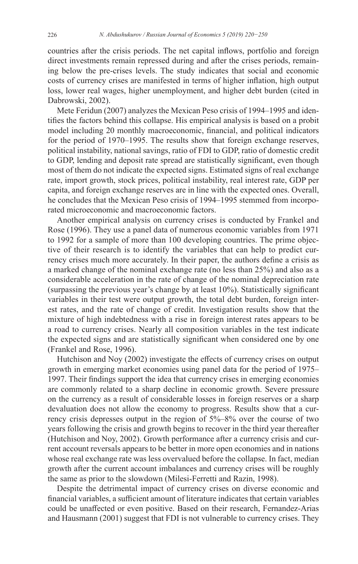countries after the crisis periods. The net capital inflows, portfolio and foreign direct investments remain repressed during and after the crises periods, remaining below the pre-crises levels. The study indicates that social and economic costs of currency crises are manifested in terms of higher inflation, high output loss, lower real wages, higher unemployment, and higher debt burden (cited in Dabrowski, 2002).

Mete Feridun (2007) analyzes the Mexican Peso crisis of 1994–1995 and identifies the factors behind this collapse. His empirical analysis is based on a probit model including 20 monthly macroeconomic, financial, and political indicators for the period of 1970–1995. The results show that foreign exchange reserves, political instability, national savings, ratio of FDI to GDP, ratio of domestic credit to GDP, lending and deposit rate spread are statistically significant, even though most of them do not indicate the expected signs. Estimated signs of real exchange rate, import growth, stock prices, political instability, real interest rate, GDP per capita, and foreign exchange reserves are in line with the expected ones. Overall, he concludes that the Mexican Peso crisis of 1994–1995 stemmed from incorporated microeconomic and macroeconomic factors.

Another empirical analysis on currency crises is conducted by Frankel and Rose (1996). They use a panel data of numerous economic variables from 1971 to 1992 for a sample of more than 100 developing countries. The prime objective of their research is to identify the variables that can help to predict currency crises much more accurately. In their paper, the authors define a crisis as a marked change of the nominal exchange rate (no less than 25%) and also as a considerable acceleration in the rate of change of the nominal depreciation rate (surpassing the previous year's change by at least 10%). Statistically significant variables in their test were output growth, the total debt burden, foreign interest rates, and the rate of change of credit. Investigation results show that the mixture of high indebtedness with a rise in foreign interest rates appears to be a road to currency crises. Nearly all composition variables in the test indicate the expected signs and are statistically significant when considered one by one (Frankel and Rose, 1996).

Hutchison and Noy (2002) investigate the effects of currency crises on output growth in emerging market economies using panel data for the period of 1975– 1997. Their findings support the idea that currency crises in emerging economies are commonly related to a sharp decline in economic growth. Severe pressure on the currency as a result of considerable losses in foreign reserves or a sharp devaluation does not allow the economy to progress. Results show that a currency crisis depresses output in the region of 5%–8% over the course of two years following the crisis and growth begins to recover in the third year thereafter (Hutchison and Noy, 2002). Growth performance after a currency crisis and current account reversals appears to be better in more open economies and in nations whose real exchange rate was less overvalued before the collapse. In fact, median growth after the current account imbalances and currency crises will be roughly the same as prior to the slowdown (Milesi-Ferretti and Razin, 1998).

Despite the detrimental impact of currency crises on diverse economic and financial variables, a sufficient amount of literature indicates that certain variables could be unaffected or even positive. Based on their research, Fernandez-Arias and Hausmann (2001) suggest that FDI is not vulnerable to currency crises. They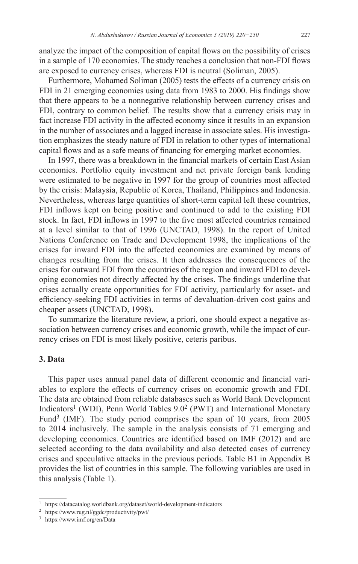analyze the impact of the composition of capital flows on the possibility of crises in a sample of 170 economies. The study reaches a conclusion that non-FDI flows are exposed to currency crises, whereas FDI is neutral (Soliman, 2005).

Furthermore, Mohamed Soliman (2005) tests the effects of a currency crisis on FDI in 21 emerging economies using data from 1983 to 2000. His findings show that there appears to be a nonnegative relationship between currency crises and FDI, contrary to common belief. The results show that a currency crisis may in fact increase FDI activity in the affected economy since it results in an expansion in the number of associates and a lagged increase in associate sales. His investigation emphasizes the steady nature of FDI in relation to other types of international capital flows and as a safe means of financing for emerging market economies.

In 1997, there was a breakdown in the financial markets of certain East Asian economies. Portfolio equity investment and net private foreign bank lending were estimated to be negative in 1997 for the group of countries most affected by the crisis: Malaysia, Republic of Korea, Thailand, Philippines and Indonesia. Nevertheless, whereas large quantities of short-term capital left these countries, FDI inflows kept on being positive and continued to add to the existing FDI stock. In fact, FDI inflows in 1997 to the five most affected countries remained at a level similar to that of 1996 (UNCTAD, 1998). In the report of United Nations Conference on Trade and Development 1998, the implications of the crises for inward FDI into the affected economies are examined by means of changes resulting from the crises. It then addresses the consequences of the crises for outward FDI from the countries of the region and inward FDI to developing economies not directly affected by the crises. The findings underline that crises actually create opportunities for FDI activity, particularly for asset- and efficiency-seeking FDI activities in terms of devaluation-driven cost gains and cheaper assets (UNCTAD, 1998).

To summarize the literature review, a priori, one should expect a negative association between currency crises and economic growth, while the impact of currency crises on FDI is most likely positive, ceteris paribus.

# **3. Data**

This paper uses annual panel data of different economic and financial variables to explore the effects of currency crises on economic growth and FDI. The data are obtained from reliable databases such as World Bank Development Indicators<sup>1</sup> (WDI), Penn World Tables 9.0<sup>2</sup> (PWT) and International Monetary Fund<sup>3</sup> (IMF). The study period comprises the span of 10 years, from  $2005$ to 2014 inclusively. The sample in the analysis consists of 71 emerging and developing economies. Countries are identified based on IMF (2012) and are selected according to the data availability and also detected cases of currency crises and speculative attacks in the previous periods. Table B1 in Appendix B provides the list of countries in this sample. The following variables are used in this analysis (Table 1).

 $^{\rm 1}$ <https://datacatalog.worldbank.org/dataset/world-development-indicators>

<sup>2</sup> <https://www.rug.nl/ggdc/productivity/pwt/>

<sup>3</sup> <https://www.imf.org/en/Data>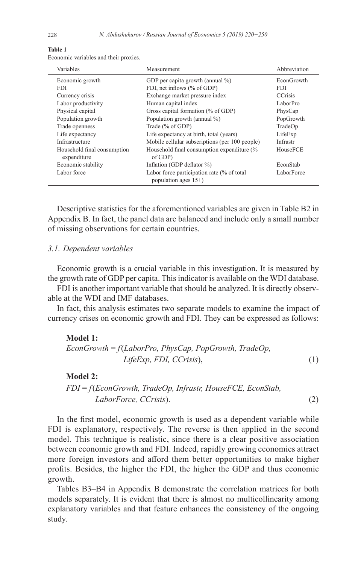| Variables                                  | Measurement                                                           | Abbreviation      |
|--------------------------------------------|-----------------------------------------------------------------------|-------------------|
| Economic growth                            | GDP per capita growth (annual %)                                      | <b>EconGrowth</b> |
| <b>FDI</b>                                 | FDI, net inflows (% of GDP)                                           | FDI.              |
| Currency crisis                            | Exchange market pressure index                                        | <b>CCrisis</b>    |
| Labor productivity                         | Human capital index                                                   | LaborPro          |
| Physical capital                           | Gross capital formation (% of GDP)                                    | PhysCap           |
| Population growth                          | Population growth (annual %)                                          | PopGrowth         |
| Trade openness                             | Trade (% of GDP)                                                      | TradeOp           |
| Life expectancy                            | Life expectancy at birth, total (years)                               | LifeExp           |
| Infrastructure                             | Mobile cellular subscriptions (per 100 people)                        | Infrastr          |
| Household final consumption<br>expenditure | Household final consumption expenditure (%<br>of GDP)                 | HouseFCE          |
| Economic stability                         | Inflation (GDP deflator %)                                            | EconStab          |
| Labor force                                | Labor force participation rate (% of total<br>population ages $15+$ ) | LaborForce        |

**Table 1**

Economic variables and their proxies.

Descriptive statistics for the aforementioned variables are given in Table B2 in Appendix B. In fact, the panel data are balanced and include only a small number of missing observations for certain countries.

#### *3.1. Dependent variables*

Economic growth is a crucial variable in this investigation. It is measured by the growth rate of GDP per capita. This indicator is available on the WDI database.

FDI is another important variable that should be analyzed. It is directly observable at the WDI and IMF databases.

In fact, this analysis estimates two separate models to examine the impact of currency crises on economic growth and FDI. They can be expressed as follows:

#### **Model 1:**

*EconGrowth* = *f*(*LaborPro, PhysCap, PopGrowth, TradeOp, LifeExp, FDI, CCrisis*), (1)

# **Model 2:**

*FDI* = *f*(*EconGrowth, TradeOp, Infrastr, HouseFCE, EconStab, LaborForce, CCrisis*). (2)

In the first model, economic growth is used as a dependent variable while FDI is explanatory, respectively. The reverse is then applied in the second model. This technique is realistic, since there is a clear positive association between economic growth and FDI. Indeed, rapidly growing economies attract more foreign investors and afford them better opportunities to make higher profits. Besides, the higher the FDI, the higher the GDP and thus economic growth.

Tables B3–B4 in Appendix B demonstrate the correlation matrices for both models separately. It is evident that there is almost no multicollinearity among explanatory variables and that feature enhances the consistency of the ongoing study.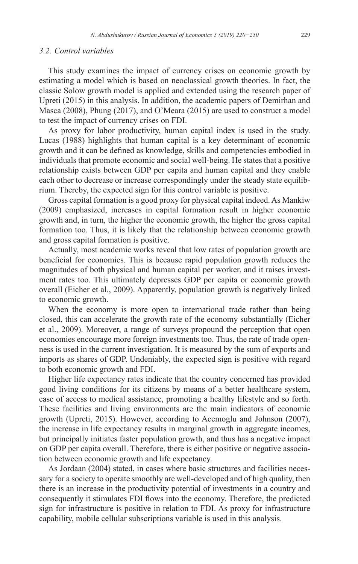# *3.2. Control variables*

This study examines the impact of currency crises on economic growth by estimating a model which is based on neoclassical growth theories. In fact, the classic Solow growth model is applied and extended using the research paper of Upreti (2015) in this analysis. In addition, the academic papers of Demirhan and Masca (2008), Phung (2017), and O'Meara (2015) are used to construct a model to test the impact of currency crises on FDI.

As proxy for labor productivity, human capital index is used in the study. Lucas (1988) highlights that human capital is a key determinant of economic growth and it can be defined as knowledge, skills and competencies embodied in individuals that promote economic and social well-being. He states that a positive relationship exists between GDP per capita and human capital and they enable each other to decrease or increase correspondingly under the steady state equilibrium. Thereby, the expected sign for this control variable is positive.

Gross capital formation is a good proxy for physical capital indeed. As Mankiw (2009) emphasized, increases in capital formation result in higher economic growth and, in turn, the higher the economic growth, the higher the gross capital formation too. Thus, it is likely that the relationship between economic growth and gross capital formation is positive.

Actually, most academic works reveal that low rates of population growth are beneficial for economies. This is because rapid population growth reduces the magnitudes of both physical and human capital per worker, and it raises investment rates too. This ultimately depresses GDP per capita or economic growth overall (Eicher et al., 2009). Apparently, population growth is negatively linked to economic growth.

When the economy is more open to international trade rather than being closed, this can accelerate the growth rate of the economy substantially (Eicher et al., 2009). Moreover, a range of surveys propound the perception that open economies encourage more foreign investments too. Thus, the rate of trade openness is used in the current investigation. It is measured by the sum of exports and imports as shares of GDP. Undeniably, the expected sign is positive with regard to both economic growth and FDI.

Higher life expectancy rates indicate that the country concerned has provided good living conditions for its citizens by means of a better healthcare system, ease of access to medical assistance, promoting a healthy lifestyle and so forth. These facilities and living environments are the main indicators of economic growth (Upreti, 2015). However, according to Acemoglu and Johnson (2007), the increase in life expectancy results in marginal growth in aggregate incomes, but principally initiates faster population growth, and thus has a negative impact on GDP per capita overall. Therefore, there is either positive or negative association between economic growth and life expectancy.

As Jordaan (2004) stated, in cases where basic structures and facilities necessary for a society to operate smoothly are well-developed and of high quality, then there is an increase in the productivity potential of investments in a country and consequently it stimulates FDI flows into the economy. Therefore, the predicted sign for infrastructure is positive in relation to FDI. As proxy for infrastructure capability, mobile cellular subscriptions variable is used in this analysis.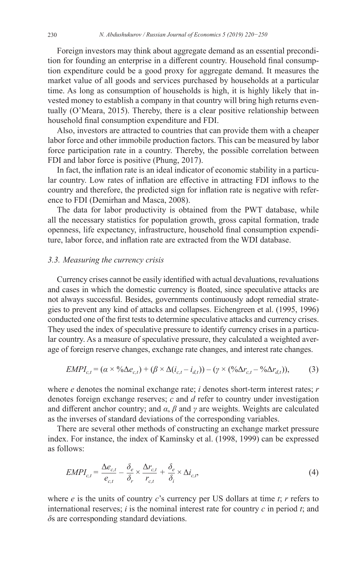Foreign investors may think about aggregate demand as an essential precondition for founding an enterprise in a different country. Household final consumption expenditure could be a good proxy for aggregate demand. It measures the market value of all goods and services purchased by households at a particular time. As long as consumption of households is high, it is highly likely that invested money to establish a company in that country will bring high returns eventually (O'Meara, 2015). Thereby, there is a clear positive relationship between household final consumption expenditure and FDI.

Also, investors are attracted to countries that can provide them with a cheaper labor force and other immobile production factors. This can be measured by labor force participation rate in a country. Thereby, the possible correlation between FDI and labor force is positive (Phung, 2017).

In fact, the inflation rate is an ideal indicator of economic stability in a particular country. Low rates of inflation are effective in attracting FDI inflows to the country and therefore, the predicted sign for inflation rate is negative with reference to FDI (Demirhan and Masca, 2008).

The data for labor productivity is obtained from the PWT database, while all the necessary statistics for population growth, gross capital formation, trade openness, life expectancy, infrastructure, household final consumption expenditure, labor force, and inflation rate are extracted from the WDI database.

#### *3.3. Measuring the currency crisis*

Currency crises cannot be easily identified with actual devaluations, revaluations and cases in which the domestic currency is floated, since speculative attacks are not always successful. Besides, governments continuously adopt remedial strategies to prevent any kind of attacks and collapses. Eichengreen et al. (1995, 1996) conducted one of the first tests to determine speculative attacks and currency crises. They used the index of speculative pressure to identify currency crises in a particular country. As a measure of speculative pressure, they calculated a weighted average of foreign reserve changes, exchange rate changes, and interest rate changes.

$$
EMPI_{c,t} = (\alpha \times {}^{00}\Delta e_{c,t}) + (\beta \times \Delta (i_{c,t} - i_{d,t})) - (\gamma \times ({}^{00}\Delta r_{c,t} - {}^{00}\Delta r_{d,t})),
$$
 (3)

where *e* denotes the nominal exchange rate; *i* denotes short-term interest rates; *r* denotes foreign exchange reserves; *c* and *d* refer to country under investigation and different anchor country; and *α*, *β* and *γ* are weights. Weights are calculated as the inverses of standard deviations of the corresponding variables.

There are several other methods of constructing an exchange market pressure index. For instance, the index of Kaminsky et al. (1998, 1999) can be expressed as follows:

$$
EMPI_{c,t} = \frac{\Delta e_{c,t}}{e_{c,t}} - \frac{\delta_e}{\delta_r} \times \frac{\Delta r_{c,t}}{r_{c,t}} + \frac{\delta_e}{\delta_i} \times \Delta i_{c,t},
$$
\n(4)

where *e* is the units of country *c*'s currency per US dollars at time *t*; *r* refers to international reserves; *i* is the nominal interest rate for country *c* in period *t*; and *δ*s are corresponding standard deviations.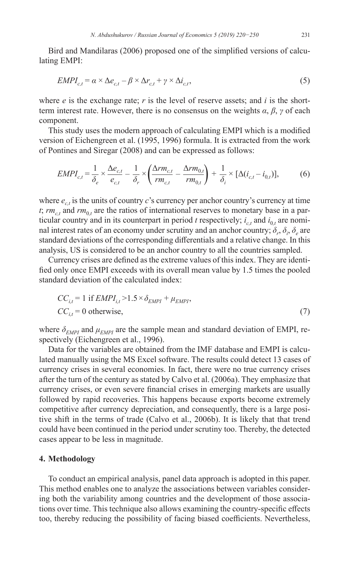Bird and Mandilaras (2006) proposed one of the simplified versions of calculating EMPI:

$$
EMPI_{c,t} = \alpha \times \Delta e_{c,t} - \beta \times \Delta r_{c,t} + \gamma \times \Delta i_{c,t},
$$
\n<sup>(5)</sup>

where  $e$  is the exchange rate;  $r$  is the level of reserve assets; and  $i$  is the shortterm interest rate. However, there is no consensus on the weights *α*, *β*, *γ* of each component.

This study uses the modern approach of calculating EMPI which is a modified version of Eichengreen et al. (1995, 1996) formula. It is extracted from the work of Pontines and Siregar (2008) and can be expressed as follows:

$$
EMPI_{c,t} = \frac{1}{\delta_e} \times \frac{\Delta e_{c,t}}{e_{c,t}} - \frac{1}{\delta_r} \times \left(\frac{\Delta rm_{c,t}}{rm_{c,t}} - \frac{\Delta rm_{0,t}}{rm_{0,t}}\right) + \frac{1}{\delta_i} \times [\Delta(i_{c,t} - i_{0,t})],\tag{6}
$$

where  $e_{ct}$  is the units of country  $c$ 's currency per anchor country's currency at time *t*;  $rm_{c,t}$  and  $rm_{0,t}$  are the ratios of international reserves to monetary base in a particular country and in its counterpart in period *t* respectively;  $i_{c,t}$  and  $i_{0,t}$  are nominal interest rates of an economy under scrutiny and an anchor country;  $\delta_r$ ,  $\delta_i$ ,  $\delta_e$  are standard deviations of the corresponding differentials and a relative change. In this analysis, US is considered to be an anchor country to all the countries sampled.

Currency crises are defined as the extreme values of this index. They are identified only once EMPI exceeds with its overall mean value by 1.5 times the pooled standard deviation of the calculated index:

$$
CC_{i,t} = 1 \text{ if } EMPI_{i,t} > 1.5 \times \delta_{EMPI} + \mu_{EMPI},
$$
  
\n
$$
CC_{i,t} = 0 \text{ otherwise},
$$
\n(7)

where  $\delta_{EMPI}$  and  $\mu_{EMPI}$  are the sample mean and standard deviation of EMPI, respectively (Eichengreen et al., 1996).

Data for the variables are obtained from the IMF database and EMPI is calculated manually using the MS Excel software. The results could detect 13 cases of currency crises in several economies. In fact, there were no true currency crises after the turn of the century as stated by Calvo et al. (2006a). They emphasize that currency crises, or even severe financial crises in emerging markets are usually followed by rapid recoveries. This happens because exports become extremely competitive after currency depreciation, and consequently, there is a large positive shift in the terms of trade (Calvo et al., 2006b). It is likely that that trend could have been continued in the period under scrutiny too. Thereby, the detected cases appear to be less in magnitude.

#### **4. Methodology**

To conduct an empirical analysis, panel data approach is adopted in this paper. This method enables one to analyze the associations between variables considering both the variability among countries and the development of those associations over time. This technique also allows examining the country-specific effects too, thereby reducing the possibility of facing biased coefficients. Nevertheless,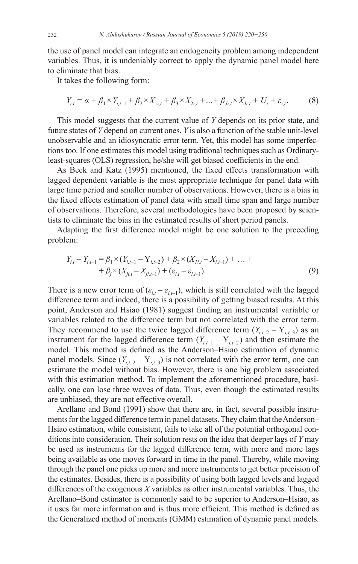the use of panel model can integrate an endogeneity problem among independent variables. Thus, it is undeniably correct to apply the dynamic panel model here to eliminate that bias.

It takes the following form:

$$
Y_{i,t} = \alpha + \beta_1 \times Y_{i,t-1} + \beta_2 \times X_{1i,t} + \beta_3 \times X_{2i,t} + \dots + \beta_{Ji,t} \times X_{Ji,t} + U_i + \varepsilon_{i,t}.
$$
 (8)

This model suggests that the current value of *Y* depends on its prior state, and future states of *Y* depend on current ones. *Y* is also a function of the stable unit-level unobservable and an idiosyncratic error term. Yet, this model has some imperfections too. If one estimates this model using traditional techniques such as Ordinaryleast-squares (OLS) regression, he/she will get biased coefficients in the end.

As Beck and Katz (1995) mentioned, the fixed effects transformation with lagged dependent variable is the most appropriate technique for panel data with large time period and smaller number of observations. However, there is a bias in the fixed effects estimation of panel data with small time span and large number of observations. Therefore, several methodologies have been proposed by scientists to eliminate the bias in the estimated results of short period panels.

Adapting the first difference model might be one solution to the preceding problem:

$$
Y_{i,t} - Y_{i,t-1} = \beta_1 \times (Y_{i,t-1} - Y_{i,t-2}) + \beta_2 \times (X_{i,t} - X_{i,t-1}) + \dots + + \beta_j \times (X_{j,t} - X_{j,t-1}) + (\varepsilon_{i,t} - \varepsilon_{i,t-1}).
$$
\n(9)

There is a new error term of  $(\varepsilon_{i,t} - \varepsilon_{i,t-1})$ , which is still correlated with the lagged difference term and indeed, there is a possibility of getting biased results. At this point, Anderson and Hsiao (1981) suggest finding an instrumental variable or variables related to the difference term but not correlated with the error term. They recommend to use the twice lagged difference term  $(Y_{i,t-2} - Y_{i,t-3})$  as an instrument for the lagged difference term  $(Y_{i,t-1} - Y_{i,t-2})$  and then estimate the model. This method is defined as the Anderson–Hsiao estimation of dynamic panel models. Since  $(Y_{i,t-2} - Y_{i,t-3})$  is not correlated with the error term, one can estimate the model without bias. However, there is one big problem associated with this estimation method. To implement the aforementioned procedure, basically, one can lose three waves of data. Thus, even though the estimated results are unbiased, they are not effective overall.

Arellano and Bond (1991) show that there are, in fact, several possible instruments for the lagged difference term in panel datasets. They claim that the Anderson– Hsiao estimation, while consistent, fails to take all of the potential orthogonal conditions into consideration. Their solution rests on the idea that deeper lags of *Y* may be used as instruments for the lagged difference term, with more and more lags being available as one moves forward in time in the panel. Thereby, while moving through the panel one picks up more and more instruments to get better precision of the estimates. Besides, there is a possibility of using both lagged levels and lagged differences of the exogenous *X* variables as other instrumental variables. Thus, the Arellano–Bond estimator is commonly said to be superior to Anderson–Hsiao, as it uses far more information and is thus more efficient. This method is defined as the Generalized method of moments (GMM) estimation of dynamic panel models.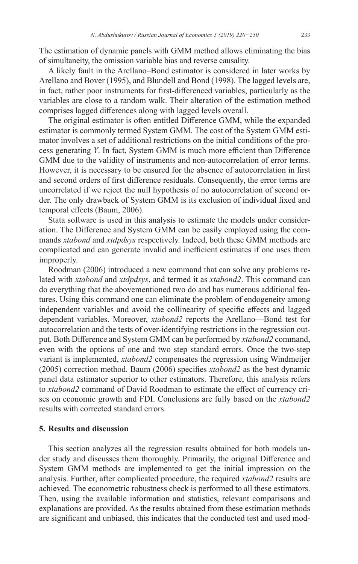The estimation of dynamic panels with GMM method allows eliminating the bias of simultaneity, the omission variable bias and reverse causality.

A likely fault in the Arellano–Bond estimator is considered in later works by Arellano and Bover (1995), and Blundell and Bond (1998). The lagged levels are, in fact, rather poor instruments for first-differenced variables, particularly as the variables are close to a random walk. Their alteration of the estimation method comprises lagged differences along with lagged levels overall.

The original estimator is often entitled Difference GMM, while the expanded estimator is commonly termed System GMM. The cost of the System GMM estimator involves a set of additional restrictions on the initial conditions of the process generating *Y*. In fact, System GMM is much more efficient than Difference GMM due to the validity of instruments and non-autocorrelation of error terms. However, it is necessary to be ensured for the absence of autocorrelation in first and second orders of first difference residuals. Consequently, the error terms are uncorrelated if we reject the null hypothesis of no autocorrelation of second order. The only drawback of System GMM is its exclusion of individual fixed and temporal effects (Baum, 2006).

Stata software is used in this analysis to estimate the models under consideration. The Difference and System GMM can be easily employed using the commands *xtabond* and *xtdpdsys* respectively. Indeed, both these GMM methods are complicated and can generate invalid and inefficient estimates if one uses them improperly.

Roodman (2006) introduced a new command that can solve any problems related with *xtabond* and *xtdpdsys*, and termed it as *xtabond2*. This command can do everything that the abovementioned two do and has numerous additional features. Using this command one can eliminate the problem of endogeneity among independent variables and avoid the collinearity of specific effects and lagged dependent variables. Moreover, *xtabond2* reports the Arellano—Bond test for autocorrelation and the tests of over-identifying restrictions in the regression output. Both Difference and System GMM can be performed by *xtabond2* command, even with the options of one and two step standard errors. Once the two-step variant is implemented, *xtabond2* compensates the regression using Windmeijer (2005) correction method. Baum (2006) specifies *xtabond2* as the best dynamic panel data estimator superior to other estimators. Therefore, this analysis refers to *xtabond2* command of David Roodman to estimate the effect of currency crises on economic growth and FDI. Conclusions are fully based on the *xtabond2* results with corrected standard errors.

#### **5. Results and discussion**

This section analyzes all the regression results obtained for both models under study and discusses them thoroughly. Primarily, the original Difference and System GMM methods are implemented to get the initial impression on the analysis. Further, after complicated procedure, the required *xtabond2* results are achieved. The econometric robustness check is performed to all these estimators. Then, using the available information and statistics, relevant comparisons and explanations are provided. As the results obtained from these estimation methods are significant and unbiased, this indicates that the conducted test and used mod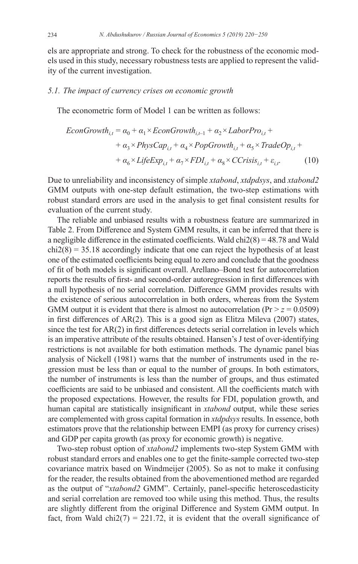els are appropriate and strong. To check for the robustness of the economic models used in this study, necessary robustness tests are applied to represent the validity of the current investigation.

#### *5.1. The impact of currency crises on economic growth*

The econometric form of Model 1 can be written as follows:

$$
EconGrowth_{i,t} = \alpha_0 + \alpha_1 \times EconGrowth_{i,t-1} + \alpha_2 \times LaborPro_{i,t} ++ \alpha_3 \times PhysCap_{i,t} + \alpha_4 \times PopGrowth_{i,t} + \alpha_5 \times TradeOp_{i,t} ++ \alpha_6 \times LifeExp_{i,t} + \alpha_7 \times FDI_{i,t} + \alpha_8 \times CCrisis_{i,t} + \varepsilon_{i,t}.
$$
 (10)

Due to unreliability and inconsistency of simple *xtabond*, *xtdpdsys*, and *xtabond2* GMM outputs with one-step default estimation, the two-step estimations with robust standard errors are used in the analysis to get final consistent results for evaluation of the current study.

The reliable and unbiased results with a robustness feature are summarized in Table 2. From Difference and System GMM results, it can be inferred that there is a negligible difference in the estimated coefficients. Wald  $\text{chi2}(8) = 48.78$  and Wald  $chi2(8) = 35.18$  accordingly indicate that one can reject the hypothesis of at least one of the estimated coefficients being equal to zero and conclude that the goodness of fit of both models is significant overall. Arellano–Bond test for autocorrelation reports the results of first- and second-order autoregression in first differences with a null hypothesis of no serial correlation. Difference GMM provides results with the existence of serious autocorrelation in both orders, whereas from the System GMM output it is evident that there is almost no autocorrelation  $(\text{Pr} > z = 0.0509)$ in first differences of AR(2). This is a good sign as Elitza Mileva (2007) states, since the test for  $AR(2)$  in first differences detects serial correlation in levels which is an imperative attribute of the results obtained. Hansen's J test of over-identifying restrictions is not available for both estimation methods. The dynamic panel bias analysis of Nickell (1981) warns that the number of instruments used in the regression must be less than or equal to the number of groups. In both estimators, the number of instruments is less than the number of groups, and thus estimated coefficients are said to be unbiased and consistent. All the coefficients match with the proposed expectations. However, the results for FDI, population growth, and human capital are statistically insignificant in *xtabond* output, while these series are complemented with gross capital formation in *xtdpdsys* results. In essence, both estimators prove that the relationship between EMPI (as proxy for currency crises) and GDP per capita growth (as proxy for economic growth) is negative.

Two-step robust option of *xtabond2* implements two-step System GMM with robust standard errors and enables one to get the finite-sample corrected two-step covariance matrix based on Windmeijer (2005). So as not to make it confusing for the reader, the results obtained from the abovementioned method are regarded as the output of "*xtabond2* GMM". Certainly, panel-specific heteroscedasticity and serial correlation are removed too while using this method. Thus, the results are slightly different from the original Difference and System GMM output. In fact, from Wald chi2(7) = 221.72, it is evident that the overall significance of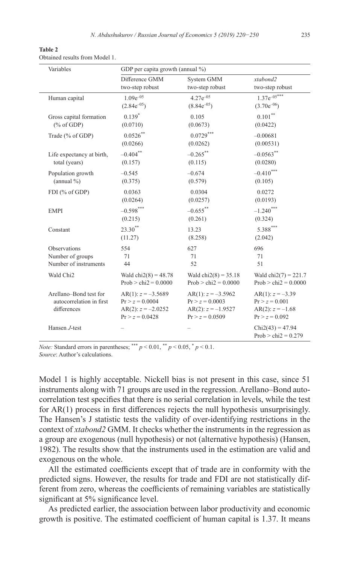| Table 2                        |  |  |
|--------------------------------|--|--|
| Obtained results from Model 1. |  |  |

| Variables                               | GDP per capita growth (annual %)          |                                           |                                        |  |
|-----------------------------------------|-------------------------------------------|-------------------------------------------|----------------------------------------|--|
|                                         | Difference GMM                            | System GMM                                | xtabond2                               |  |
|                                         | two-step robust                           | two-step robust                           | two-step robust                        |  |
| Human capital                           | $1.09e^{-0.5}$                            | $4.27e^{-05}$                             | $1.37e^{-0.5***}$                      |  |
|                                         | $(2.84e^{-0.5})$                          | $(8.84e^{-0.5})$                          | $(3.70e^{-06})$                        |  |
| Gross capital formation                 | $0.139*$                                  | 0.105                                     | $0.101$ **                             |  |
| % of GDP                                | (0.0710)                                  | (0.0673)                                  | (0.0422)                               |  |
| Trade (% of GDP)                        | $0.0526***$                               | $0.0729***$                               | $-0.00681$                             |  |
|                                         | (0.0266)                                  | (0.0262)                                  | (0.00531)                              |  |
| Life expectancy at birth,               | $-0.404$ **                               | $-0.265$ **                               | $-0.0563$ **                           |  |
| total (years)                           | (0.157)                                   | (0.115)                                   | (0.0280)                               |  |
| Population growth                       | $-0.545$                                  | $-0.674$                                  | $-0.410$ ***                           |  |
| $(annual \% )$                          | (0.375)                                   | (0.579)                                   | (0.105)                                |  |
| FDI (% of GDP)                          | 0.0363                                    | 0.0304                                    | 0.0272                                 |  |
|                                         | (0.0264)                                  | (0.0257)                                  | (0.0193)                               |  |
| <b>EMPI</b>                             | $-0.598$ ***                              | $-0.655$ **                               | $-1.240$ ***                           |  |
|                                         | (0.215)                                   | (0.261)                                   | (0.324)                                |  |
| Constant                                | $23.30^{**}$                              | 13.23                                     | $5.388***$                             |  |
|                                         | (11.27)                                   | (8.258)                                   | (2.042)                                |  |
| Observations                            | 554                                       | 627                                       | 696                                    |  |
| Number of groups                        | 71                                        | 71                                        | 71                                     |  |
| Number of instruments                   | 44                                        | 52                                        | 51                                     |  |
| Wald Chi <sub>2</sub>                   | Wald $chi2(8) = 48.78$                    | Wald $chi2(8) = 35.18$                    | Wald $chi2(7) = 221.7$                 |  |
|                                         | $Prob > chi2 = 0.0000$                    | $Prob > chi2 = 0.0000$                    | $Prob > chi2 = 0.0000$                 |  |
| Arellano-Bond test for                  | AR(1): $z = -3.5689$                      | AR(1): $z = -3.5962$                      | AR(1): $z = -3.39$                     |  |
| autocorrelation in first<br>differences | $Pr > z = 0.0004$<br>AR(2): $z = -2.0252$ | $Pr > z = 0.0003$<br>AR(2): $z = -1.9527$ | $Pr > z = 0.001$<br>AR(2): $z = -1.68$ |  |
|                                         | $Pr > z = 0.0428$                         | $Pr > z = 0.0509$                         | $Pr > z = 0.092$                       |  |
| Hansen J-test                           |                                           |                                           | $Chi2(43) = 47.94$                     |  |
|                                         |                                           |                                           | $Prob > chi2 = 0.279$                  |  |
|                                         |                                           |                                           |                                        |  |

*Note:* Standard errors in parentheses; \*\*\*  $p < 0.01$ , \*\*  $p < 0.05$ , \*  $p < 0.1$ . *Source*: Author's calculations.

Model 1 is highly acceptable. Nickell bias is not present in this case, since 51 instruments along with 71 groups are used in the regression. Arellano–Bond autocorrelation test specifies that there is no serial correlation in levels, while the test for AR(1) process in first differences rejects the null hypothesis unsurprisingly. The Hansen's J statistic tests the validity of over-identifying restrictions in the context of *xtabond2* GMM. It checks whether the instruments in the regression as a group are exogenous (null hypothesis) or not (alternative hypothesis) (Hansen, 1982). The results show that the instruments used in the estimation are valid and exogenous on the whole.

All the estimated coefficients except that of trade are in conformity with the predicted signs. However, the results for trade and FDI are not statistically different from zero, whereas the coefficients of remaining variables are statistically significant at 5% significance level.

As predicted earlier, the association between labor productivity and economic growth is positive. The estimated coefficient of human capital is 1.37. It means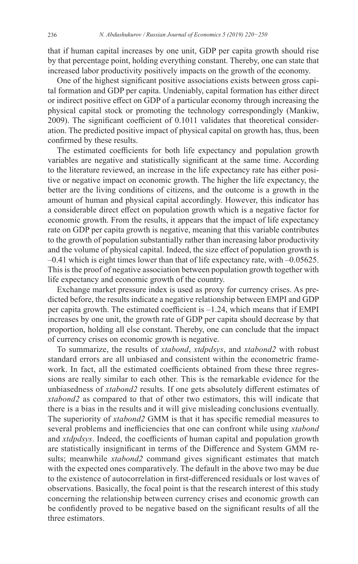that if human capital increases by one unit, GDP per capita growth should rise by that percentage point, holding everything constant. Thereby, one can state that increased labor productivity positively impacts on the growth of the economy.

One of the highest significant positive associations exists between gross capital formation and GDP per capita. Undeniably, capital formation has either direct or indirect positive effect on GDP of a particular economy through increasing the physical capital stock or promoting the technology correspondingly (Mankiw, 2009). The significant coefficient of 0.1011 validates that theoretical consideration. The predicted positive impact of physical capital on growth has, thus, been confirmed by these results.

The estimated coefficients for both life expectancy and population growth variables are negative and statistically significant at the same time. According to the literature reviewed, an increase in the life expectancy rate has either positive or negative impact on economic growth. The higher the life expectancy, the better are the living conditions of citizens, and the outcome is a growth in the amount of human and physical capital accordingly. However, this indicator has a considerable direct effect on population growth which is a negative factor for economic growth. From the results, it appears that the impact of life expectancy rate on GDP per capita growth is negative, meaning that this variable contributes to the growth of population substantially rather than increasing labor productivity and the volume of physical capital. Indeed, the size effect of population growth is –0.41 which is eight times lower than that of life expectancy rate, with –0.05625. This is the proof of negative association between population growth together with life expectancy and economic growth of the country.

Exchange market pressure index is used as proxy for currency crises. As predicted before, the results indicate a negative relationship between EMPI and GDP per capita growth. The estimated coefficient is –1.24, which means that if EMPI increases by one unit, the growth rate of GDP per capita should decrease by that proportion, holding all else constant. Thereby, one can conclude that the impact of currency crises on economic growth is negative.

To summarize, the results of *xtabond*, *xtdpdsys*, and *xtabond2* with robust standard errors are all unbiased and consistent within the econometric framework. In fact, all the estimated coefficients obtained from these three regressions are really similar to each other. This is the remarkable evidence for the unbiasedness of *xtabond2* results. If one gets absolutely different estimates of *xtabond2* as compared to that of other two estimators, this will indicate that there is a bias in the results and it will give misleading conclusions eventually. The superiority of *xtabond2* GMM is that it has specific remedial measures to several problems and inefficiencies that one can confront while using *xtabond* and *xtdpdsys*. Indeed, the coefficients of human capital and population growth are statistically insignificant in terms of the Difference and System GMM results; meanwhile *xtabond2* command gives significant estimates that match with the expected ones comparatively. The default in the above two may be due to the existence of autocorrelation in first-differenced residuals or lost waves of observations. Basically, the focal point is that the research interest of this study concerning the relationship between currency crises and economic growth can be confidently proved to be negative based on the significant results of all the three estimators.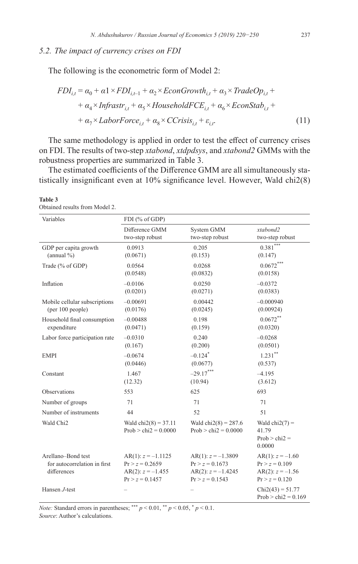# *5.2. The impact of currency crises on FDI*

The following is the econometric form of Model 2:

$$
FDI_{i,t} = \alpha_0 + \alpha_1 \times FDI_{i,t-1} + \alpha_2 \times EconGrowth_{i,t} + \alpha_3 \times TradeOp_{i,t} + \alpha_4 \times Infrastr_{i,t} + \alpha_5 \times HouseholdFCE_{i,t} + \alpha_6 \times EconStab_{i,t} + \alpha_7 \times LaborForce_{i,t} + \alpha_8 \times CCrisis_{i,t} + \varepsilon_{i,t}
$$
\n(11)

The same methodology is applied in order to test the effect of currency crises on FDI. The results of two-step *xtabond*, *xtdpdsys*, and *xtabond2* GMMs with the robustness properties are summarized in Table 3.

The estimated coefficients of the Difference GMM are all simultaneously statistically insignificant even at 10% significance level. However, Wald chi2(8)

#### **Table 3**

Obtained results from Model 2.

| Variables                                                         | FDI (% of GDP)                                                                        |                                                                                        |                                                                                  |
|-------------------------------------------------------------------|---------------------------------------------------------------------------------------|----------------------------------------------------------------------------------------|----------------------------------------------------------------------------------|
|                                                                   | Difference GMM                                                                        | System GMM                                                                             | xtabond2                                                                         |
|                                                                   | two-step robust                                                                       | two-step robust                                                                        | two-step robust                                                                  |
| GDP per capita growth                                             | 0.0913                                                                                | 0.205                                                                                  | $0.381$ ***                                                                      |
| $(annual \% )$                                                    | (0.0671)                                                                              | (0.153)                                                                                | (0.147)                                                                          |
| Trade (% of GDP)                                                  | 0.0564                                                                                | 0.0268                                                                                 | $0.0672***$                                                                      |
|                                                                   | (0.0548)                                                                              | (0.0832)                                                                               | (0.0158)                                                                         |
| Inflation                                                         | $-0.0106$                                                                             | 0.0250                                                                                 | $-0.0372$                                                                        |
|                                                                   | (0.0201)                                                                              | (0.0271)                                                                               | (0.0383)                                                                         |
| Mobile cellular subscriptions                                     | $-0.00691$                                                                            | 0.00442                                                                                | $-0.000940$                                                                      |
| (per 100 people)                                                  | (0.0176)                                                                              | (0.0245)                                                                               | (0.00924)                                                                        |
| Household final consumption                                       | $-0.00488$                                                                            | 0.198                                                                                  | $0.0672***$                                                                      |
| expenditure                                                       | (0.0471)                                                                              | (0.159)                                                                                | (0.0320)                                                                         |
| Labor force participation rate                                    | $-0.0310$                                                                             | 0.240                                                                                  | $-0.0268$                                                                        |
|                                                                   | (0.167)                                                                               | (0.200)                                                                                | (0.0501)                                                                         |
| <b>EMPI</b>                                                       | $-0.0674$                                                                             | $-0.124$ <sup>*</sup>                                                                  | $1.231$ **                                                                       |
|                                                                   | (0.0446)                                                                              | (0.0677)                                                                               | (0.537)                                                                          |
| Constant                                                          | 1.467                                                                                 | $-29.17***$                                                                            | $-4.195$                                                                         |
|                                                                   | (12.32)                                                                               | (10.94)                                                                                | (3.612)                                                                          |
| Observations                                                      | 553                                                                                   | 625                                                                                    | 693                                                                              |
| Number of groups                                                  | 71                                                                                    | 71                                                                                     | 71                                                                               |
| Number of instruments                                             | 44                                                                                    | 52                                                                                     | 51                                                                               |
| Wald Chi2                                                         | Wald $chi2(8) = 37.11$<br>Prob $>$ chi2 = 0.0000                                      | Wald chi $2(8) = 287.6$<br>Prob $>$ chi2 = 0.0000                                      | Wald $chi2(7) =$<br>41.79<br>$Prob > chi2 =$<br>0.0000                           |
| Arellano-Bond test<br>for autocorrelation in first<br>differences | $AR(1): z = -1.1125$<br>$Pr > z = 0.2659$<br>AR(2): $z = -1.455$<br>$Pr > z = 0.1457$ | $AR(1): z = -1.3809$<br>$Pr > z = 0.1673$<br>$AR(2): z = -1.4245$<br>$Pr > z = 0.1543$ | AR(1): $z = -1.60$<br>$Pr > z = 0.109$<br>AR(2): $z = -1.56$<br>$Pr > z = 0.120$ |
| Hansen J-test                                                     |                                                                                       |                                                                                        | $Chi2(43) = 51.77$<br>Prob > chi $2 = 0.169$                                     |

*Note:* Standard errors in parentheses; \*\*\*  $p < 0.01$ , \*\*  $p < 0.05$ , \*  $p < 0.1$ .

*Source*: Author's calculations.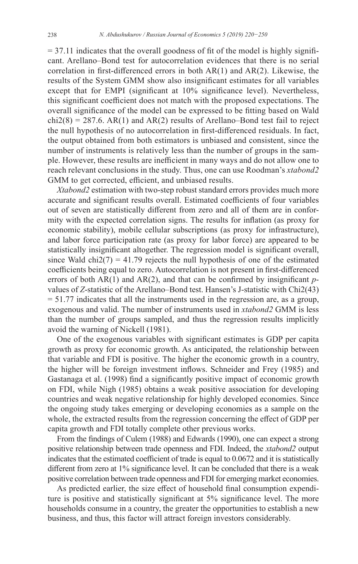$= 37.11$  indicates that the overall goodness of fit of the model is highly significant. Arellano–Bond test for autocorrelation evidences that there is no serial correlation in first-differenced errors in both AR(1) and AR(2). Likewise, the results of the System GMM show also insignificant estimates for all variables except that for EMPI (significant at 10% significance level). Nevertheless, this significant coefficient does not match with the proposed expectations. The overall significance of the model can be expressed to be fitting based on Wald  $chi2(8) = 287.6$ . AR(1) and AR(2) results of Arellano–Bond test fail to reject the null hypothesis of no autocorrelation in first-differenced residuals. In fact, the output obtained from both estimators is unbiased and consistent, since the number of instruments is relatively less than the number of groups in the sample. However, these results are inefficient in many ways and do not allow one to reach relevant conclusions in the study. Thus, one can use Roodman's *xtabond2* GMM to get corrected, efficient, and unbiased results.

*Xtabond2* estimation with two-step robust standard errors provides much more accurate and significant results overall. Estimated coefficients of four variables out of seven are statistically different from zero and all of them are in conformity with the expected correlation signs. The results for inflation (as proxy for economic stability), mobile cellular subscriptions (as proxy for infrastructure), and labor force participation rate (as proxy for labor force) are appeared to be statistically insignificant altogether. The regression model is significant overall, since Wald chi2(7) = 41.79 rejects the null hypothesis of one of the estimated coefficients being equal to zero. Autocorrelation is not present in first-differenced errors of both AR(1) and AR(2), and that can be confirmed by insignificant *p*values of *Z*-statistic of the Arellano–Bond test. Hansen's J-statistic with Chi2(43)  $= 51.77$  indicates that all the instruments used in the regression are, as a group, exogenous and valid. The number of instruments used in *xtabond2* GMM is less than the number of groups sampled, and thus the regression results implicitly avoid the warning of Nickell (1981).

One of the exogenous variables with significant estimates is GDP per capita growth as proxy for economic growth. As anticipated, the relationship between that variable and FDI is positive. The higher the economic growth in a country, the higher will be foreign investment inflows. Schneider and Frey (1985) and Gastanaga et al. (1998) find a significantly positive impact of economic growth on FDI, while Nigh (1985) obtains a weak positive association for developing countries and weak negative relationship for highly developed economies. Since the ongoing study takes emerging or developing economies as a sample on the whole, the extracted results from the regression concerning the effect of GDP per capita growth and FDI totally complete other previous works.

From the findings of Culem (1988) and Edwards (1990), one can expect a strong positive relationship between trade openness and FDI. Indeed, the *xtabond2* output indicates that the estimated coefficient of trade is equal to 0.0672 and it is statistically different from zero at 1% significance level. It can be concluded that there is a weak positive correlation between trade openness and FDI for emerging market economies.

As predicted earlier, the size effect of household final consumption expenditure is positive and statistically significant at 5% significance level. The more households consume in a country, the greater the opportunities to establish a new business, and thus, this factor will attract foreign investors considerably.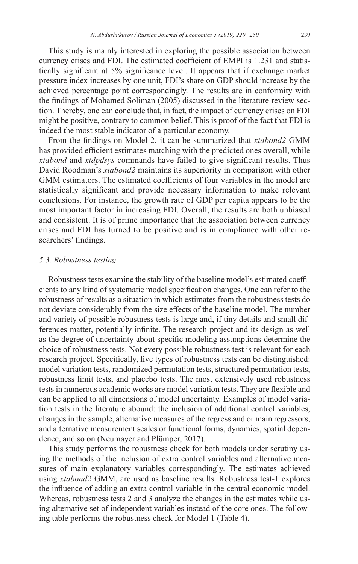This study is mainly interested in exploring the possible association between currency crises and FDI. The estimated coefficient of EMPI is 1.231 and statistically significant at 5% significance level. It appears that if exchange market pressure index increases by one unit, FDI's share on GDP should increase by the achieved percentage point correspondingly. The results are in conformity with the findings of Mohamed Soliman (2005) discussed in the literature review section. Thereby, one can conclude that, in fact, the impact of currency crises on FDI might be positive, contrary to common belief. This is proof of the fact that FDI is indeed the most stable indicator of a particular economy.

From the findings on Model 2, it can be summarized that *xtabond2* GMM has provided efficient estimates matching with the predicted ones overall, while *xtabond* and *xtdpdsys* commands have failed to give significant results. Thus David Roodman's *xtabond2* maintains its superiority in comparison with other GMM estimators. The estimated coefficients of four variables in the model are statistically significant and provide necessary information to make relevant conclusions. For instance, the growth rate of GDP per capita appears to be the most important factor in increasing FDI. Overall, the results are both unbiased and consistent. It is of prime importance that the association between currency crises and FDI has turned to be positive and is in compliance with other researchers' findings.

#### *5.3. Robustness testing*

Robustness tests examine the stability of the baseline model's estimated coefficients to any kind of systematic model specification changes. One can refer to the robustness of results as a situation in which estimates from the robustness tests do not deviate considerably from the size effects of the baseline model. The number and variety of possible robustness tests is large and, if tiny details and small differences matter, potentially infinite. The research project and its design as well as the degree of uncertainty about specific modeling assumptions determine the choice of robustness tests. Not every possible robustness test is relevant for each research project. Specifically, five types of robustness tests can be distinguished: model variation tests, randomized permutation tests, structured permutation tests, robustness limit tests, and placebo tests. The most extensively used robustness tests in numerous academic works are model variation tests. They are flexible and can be applied to all dimensions of model uncertainty. Examples of model variation tests in the literature abound: the inclusion of additional control variables, changes in the sample, alternative measures of the regress and or main regressors, and alternative measurement scales or functional forms, dynamics, spatial dependence, and so on (Neumayer and Plümper, 2017).

This study performs the robustness check for both models under scrutiny using the methods of the inclusion of extra control variables and alternative measures of main explanatory variables correspondingly. The estimates achieved using *xtabond2* GMM, are used as baseline results. Robustness test-1 explores the influence of adding an extra control variable in the central economic model. Whereas, robustness tests 2 and 3 analyze the changes in the estimates while using alternative set of independent variables instead of the core ones. The following table performs the robustness check for Model 1 (Table 4).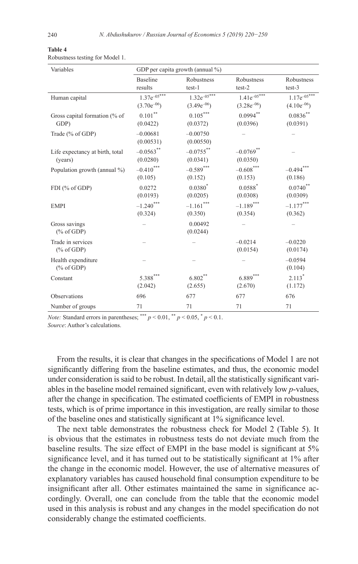# **Table 4**

| Variables                                  | GDP per capita growth (annual %) |                         |                       |                       |
|--------------------------------------------|----------------------------------|-------------------------|-----------------------|-----------------------|
|                                            | <b>Baseline</b>                  | Robustness              | Robustness            | Robustness            |
|                                            | results                          | $test-1$                | $test-2$              | test-3                |
| Human capital                              | $1.37e^{-0.5***}$                | $1.32e^{-0.5***}$       | $1.41e^{-0.5***}$     | $1.17e^{-0.5***}$     |
|                                            | $(3.70e^{-06})$                  | $(3.49e^{-06})$         | $(3.28e^{-06})$       | $(4.10e^{-06})$       |
| Gross capital formation (% of              | $0.101\sp{**}$                   | $0.105***$              | $0.0994***$           | $0.0836^{**}$         |
| GDP)                                       | (0.0422)                         | (0.0372)                | (0.0396)              | (0.0391)              |
| Trade (% of GDP)                           | $-0.00681$<br>(0.00531)          | $-0.00750$<br>(0.00550) |                       |                       |
| Life expectancy at birth, total            | $-0.0563$ **                     | $-0.0755$ **            | $-0.0769$ **          |                       |
| (years)                                    | (0.0280)                         | (0.0341)                | (0.0350)              |                       |
| Population growth (annual %)               | $-0.410$ ***                     | $-0.589***$             | $-0.608***$           | $-0.494***$           |
|                                            | (0.105)                          | (0.152)                 | (0.153)               | (0.186)               |
| FDI (% of GDP)                             | 0.0272                           | $0.0380^{*}$            | $0.0588^{*}$          | $0.0740$ **           |
|                                            | (0.0193)                         | (0.0205)                | (0.0308)              | (0.0309)              |
| <b>EMPI</b>                                | $-1.240$ ***                     | $-1.161$ ***            | $-1.189***$           | $-1.177***$           |
|                                            | (0.324)                          | (0.350)                 | (0.354)               | (0.362)               |
| Gross savings<br>$(\%$ of GDP)             |                                  | 0.00492<br>(0.0244)     |                       |                       |
| Trade in services<br>$(\% \text{ of GDP})$ |                                  |                         | $-0.0214$<br>(0.0154) | $-0.0220$<br>(0.0174) |
| Health expenditure<br>$(\%$ of GDP)        |                                  |                         |                       | $-0.0594$<br>(0.104)  |
| Constant                                   | $5.388***$                       | $6.802***$              | $6.889***$            | $2.113*$              |
|                                            | (2.042)                          | (2.655)                 | (2.670)               | (1.172)               |
| Observations                               | 696                              | 677                     | 677                   | 676                   |
| Number of groups                           | 71                               | 71                      | 71                    | 71                    |

*Note:* Standard errors in parentheses; \*\*\*  $p < 0.01$ , \*\*  $p < 0.05$ , \*  $p < 0.1$ .

*Source*: Author's calculations.

From the results, it is clear that changes in the specifications of Model 1 are not significantly differing from the baseline estimates, and thus, the economic model under consideration is said to be robust. In detail, all the statistically significant variables in the baseline model remained significant, even with relatively low *p*-values, after the change in specification. The estimated coefficients of EMPI in robustness tests, which is of prime importance in this investigation, are really similar to those of the baseline ones and statistically significant at 1% significance level.

The next table demonstrates the robustness check for Model 2 (Table 5). It is obvious that the estimates in robustness tests do not deviate much from the baseline results. The size effect of EMPI in the base model is significant at 5% significance level, and it has turned out to be statistically significant at 1% after the change in the economic model. However, the use of alternative measures of explanatory variables has caused household final consumption expenditure to be insignificant after all. Other estimates maintained the same in significance accordingly. Overall, one can conclude from the table that the economic model used in this analysis is robust and any changes in the model specification do not considerably change the estimated coefficients.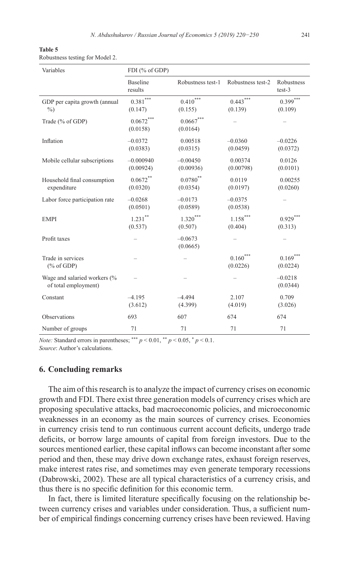| Table 5                         |  |  |
|---------------------------------|--|--|
| Robustness testing for Model 2. |  |  |

| Variables                                            | FDI (% of GDP)                    |                                       |                             |                        |
|------------------------------------------------------|-----------------------------------|---------------------------------------|-----------------------------|------------------------|
|                                                      | <b>Baseline</b><br>results        | Robustness test-1                     | Robustness test-2           | Robustness<br>$test-3$ |
| GDP per capita growth (annual<br>$\%$                | $0.381^{\ast\ast\ast}$<br>(0.147) | ${0.410}^{\ast\ast\ast}$<br>(0.155)   | $0.443***$<br>(0.139)       | $0.399***$<br>(0.109)  |
| Trade (% of GDP)                                     | $0.0672***$<br>(0.0158)           | ${0.0667}^{\ast\ast\ast}$<br>(0.0164) |                             |                        |
| Inflation                                            | $-0.0372$<br>(0.0383)             | 0.00518<br>(0.0315)                   | $-0.0360$<br>(0.0459)       | $-0.0226$<br>(0.0372)  |
| Mobile cellular subscriptions                        | $-0.000940$<br>(0.00924)          | $-0.00450$<br>(0.00936)               | 0.00374<br>(0.00798)        | 0.0126<br>(0.0101)     |
| Household final consumption<br>expenditure           | $0.0672***$<br>(0.0320)           | $0.0780^{**}$<br>(0.0354)             | 0.0119<br>(0.0197)          | 0.00255<br>(0.0260)    |
| Labor force participation rate                       | $-0.0268$<br>(0.0501)             | $-0.0173$<br>(0.0589)                 | $-0.0375$<br>(0.0538)       |                        |
| <b>EMPI</b>                                          | $1.231***$<br>(0.537)             | $1.320***$<br>(0.507)                 | $1.158***$<br>(0.404)       | $0.929***$<br>(0.313)  |
| Profit taxes                                         |                                   | $-0.0673$<br>(0.0665)                 |                             |                        |
| Trade in services<br>$(\% \text{ of GDP})$           |                                   |                                       | $0.160^{\circ}$<br>(0.0226) | $0.169***$<br>(0.0224) |
| Wage and salaried workers (%<br>of total employment) |                                   |                                       |                             | $-0.0218$<br>(0.0344)  |
| Constant                                             | $-4.195$<br>(3.612)               | $-4.494$<br>(4.399)                   | 2.107<br>(4.019)            | 0.709<br>(3.026)       |
| Observations                                         | 693                               | 607                                   | 674                         | 674                    |
| Number of groups                                     | 71                                | 71                                    | 71                          | 71                     |

*Note:* Standard errors in parentheses; \*\*\*  $p < 0.01$ , \*\*  $p < 0.05$ , \*  $p < 0.1$ . *Source*: Author's calculations.

#### **6. Concluding remarks**

The aim of this research is to analyze the impact of currency crises on economic growth and FDI. There exist three generation models of currency crises which are proposing speculative attacks, bad macroeconomic policies, and microeconomic weaknesses in an economy as the main sources of currency crises. Economies in currency crisis tend to run continuous current account deficits, undergo trade deficits, or borrow large amounts of capital from foreign investors. Due to the sources mentioned earlier, these capital inflows can become inconstant after some period and then, these may drive down exchange rates, exhaust foreign reserves, make interest rates rise, and sometimes may even generate temporary recessions (Dabrowski, 2002). These are all typical characteristics of a currency crisis, and thus there is no specific definition for this economic term.

In fact, there is limited literature specifically focusing on the relationship between currency crises and variables under consideration. Thus, a sufficient number of empirical findings concerning currency crises have been reviewed. Having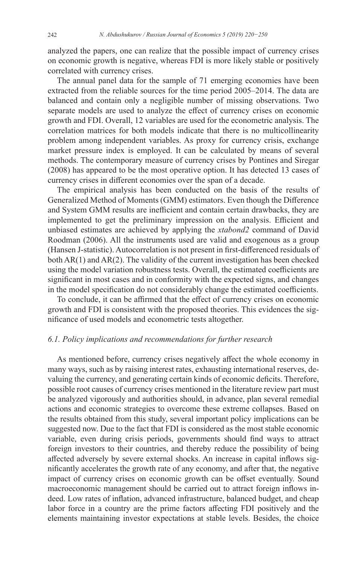analyzed the papers, one can realize that the possible impact of currency crises on economic growth is negative, whereas FDI is more likely stable or positively correlated with currency crises.

The annual panel data for the sample of 71 emerging economies have been extracted from the reliable sources for the time period 2005–2014. The data are balanced and contain only a negligible number of missing observations. Two separate models are used to analyze the effect of currency crises on economic growth and FDI. Overall, 12 variables are used for the econometric analysis. The correlation matrices for both models indicate that there is no multicollinearity problem among independent variables. As proxy for currency crisis, exchange market pressure index is employed. It can be calculated by means of several methods. The contemporary measure of currency crises by Pontines and Siregar (2008) has appeared to be the most operative option. It has detected 13 cases of currency crises in different economies over the span of a decade.

The empirical analysis has been conducted on the basis of the results of Generalized Method of Moments (GMM) estimators. Even though the Difference and System GMM results are inefficient and contain certain drawbacks, they are implemented to get the preliminary impression on the analysis. Efficient and unbiased estimates are achieved by applying the *xtabond2* command of David Roodman (2006). All the instruments used are valid and exogenous as a group (Hansen J-statistic). Autocorrelation is not present in first-differenced residuals of both AR(1) and AR(2). The validity of the current investigation has been checked using the model variation robustness tests. Overall, the estimated coefficients are significant in most cases and in conformity with the expected signs, and changes in the model specification do not considerably change the estimated coefficients.

To conclude, it can be affirmed that the effect of currency crises on economic growth and FDI is consistent with the proposed theories. This evidences the significance of used models and econometric tests altogether.

# *6.1. Policy implications and recommendations for further research*

As mentioned before, currency crises negatively affect the whole economy in many ways, such as by raising interest rates, exhausting international reserves, devaluing the currency, and generating certain kinds of economic deficits. Therefore, possible root causes of currency crises mentioned in the literature review part must be analyzed vigorously and authorities should, in advance, plan several remedial actions and economic strategies to overcome these extreme collapses. Based on the results obtained from this study, several important policy implications can be suggested now. Due to the fact that FDI is considered as the most stable economic variable, even during crisis periods, governments should find ways to attract foreign investors to their countries, and thereby reduce the possibility of being affected adversely by severe external shocks. An increase in capital inflows significantly accelerates the growth rate of any economy, and after that, the negative impact of currency crises on economic growth can be offset eventually. Sound macroeconomic management should be carried out to attract foreign inflows indeed. Low rates of inflation, advanced infrastructure, balanced budget, and cheap labor force in a country are the prime factors affecting FDI positively and the elements maintaining investor expectations at stable levels. Besides, the choice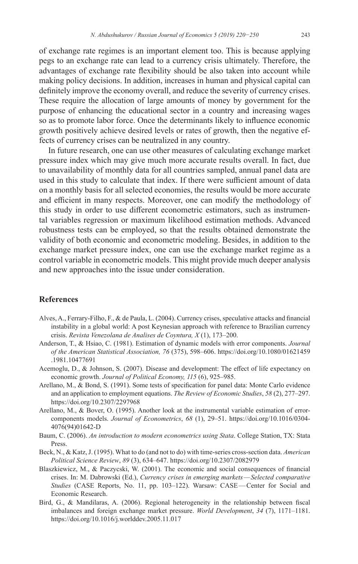of exchange rate regimes is an important element too. This is because applying pegs to an exchange rate can lead to a currency crisis ultimately. Therefore, the advantages of exchange rate flexibility should be also taken into account while making policy decisions. In addition, increases in human and physical capital can definitely improve the economy overall, and reduce the severity of currency crises. These require the allocation of large amounts of money by government for the purpose of enhancing the educational sector in a country and increasing wages so as to promote labor force. Once the determinants likely to influence economic growth positively achieve desired levels or rates of growth, then the negative effects of currency crises can be neutralized in any country.

In future research, one can use other measures of calculating exchange market pressure index which may give much more accurate results overall. In fact, due to unavailability of monthly data for all countries sampled, annual panel data are used in this study to calculate that index. If there were sufficient amount of data on a monthly basis for all selected economies, the results would be more accurate and efficient in many respects. Moreover, one can modify the methodology of this study in order to use different econometric estimators, such as instrumental variables regression or maximum likelihood estimation methods. Advanced robustness tests can be employed, so that the results obtained demonstrate the validity of both economic and econometric modeling. Besides, in addition to the exchange market pressure index, one can use the exchange market regime as a control variable in econometric models. This might provide much deeper analysis and new approaches into the issue under consideration.

# **References**

- Alves, A., Ferrary-Filho, F., & de Paula, L. (2004). Currency crises, speculative attacks and financial instability in a global world: A post Keynesian approach with reference to Brazilian currency crisis. *Revista Venezolana de Analises de Coyntura, X* (1), 173–200.
- Anderson, T., & Hsiao, C. (1981). Estimation of dynamic models with error components. *Journal of the American Statistical Association, 76* (375), 598–606. [https://doi.org/10.1080/01621459](https://doi.org/10.1080/01621459.1981.10477691) [.1981.10477691](https://doi.org/10.1080/01621459.1981.10477691)
- Acemoglu, D., & Johnson, S. (2007). Disease and development: The effect of life expectancy on economic growth. *Journal of Political Economy, 115* (6), 925–985.
- Arellano, M., & Bond, S. (1991). Some tests of specification for panel data: Monte Carlo evidence and an application to employment equations. *The Review of Economic Studies*, *58* (2), 277–297. <https://doi.org/10.2307/2297968>
- Arellano, M., & Bover, O. (1995). Another look at the instrumental variable estimation of errorcomponents models. *Journal of Econometrics*, *68* (1), 29–51. [https://doi.org/10.1016/0304-](https://doi.org/10.1016/0304-4076(94)01642-D) [4076\(94\)01642-D](https://doi.org/10.1016/0304-4076(94)01642-D)
- Baum, C. (2006). *An introduction to modern econometrics using Stata*. College Station, TX: Stata Press.
- Beck, N., & Katz, J. (1995). What to do (and not to do) with time-series cross-section data. *American Political Science Review*, *89* (3), 634–647.<https://doi.org/10.2307/2082979>
- Blaszkiewicz, M., & Paczyсski, W. (2001). The economic and social consequences of financial crises. In: M. Dabrowski (Ed.), *Currency crises in emerging markets—Selected comparative Studies* (CASE Reports, No. 11, pp. 103–122). Warsaw: CASE—Center for Social and Economic Research.
- Bird, G., & Mandilaras, A. (2006). Regional heterogeneity in the relationship between fiscal imbalances and foreign exchange market pressure. *World Development*, *34* (7), 1171–1181. <https://doi.org/10.1016/j.worlddev.2005.11.017>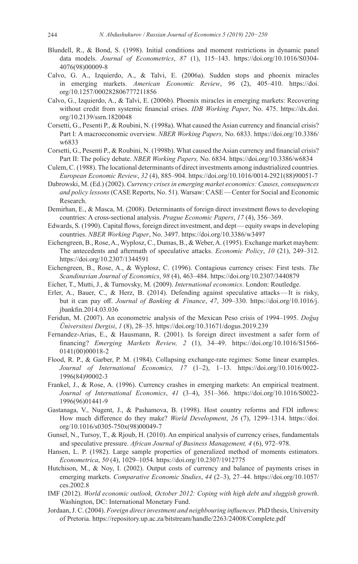- Blundell, R., & Bond, S. (1998). Initial conditions and moment restrictions in dynamic panel data models. *Journal of Econometrics*, *87* (1), 115–143. [https://doi.org/10.1016/S0304-](https://doi.org/10.1016/S0304-4076(98)00009-8) [4076\(98\)00009-8](https://doi.org/10.1016/S0304-4076(98)00009-8)
- Calvo, G. A., Izquierdo, A., & Talvi, E. (2006a). Sudden stops and phoenix miracles in emerging markets. *American Economic Review*, *96* (2), 405–410. [https://doi.](https://doi.org/10.1257/000282806777211856) [org/10.1257/000282806777211856](https://doi.org/10.1257/000282806777211856)
- Calvo, G., Izquierdo, A., & Talvi, E. (2006b). Phoenix miracles in emerging markets: Recovering without credit from systemic financial crises. *IDB Working Paper*, No. 475. [https://dx.doi.](https://dx.doi.org/10.2139/ssrn.1820048) [org/10.2139/ssrn.1820048](https://dx.doi.org/10.2139/ssrn.1820048)
- Corsetti, G., Pesenti P., & Roubini, N. (1998a). What caused the Asian currency and financial crisis? Part I: A macroeconomic overview. *NBER Working Papers,* No. 6833. [https://doi.org/10.3386/](https://doi.org/10.3386/w6833) [w6833](https://doi.org/10.3386/w6833)
- Corsetti, G., Pesenti P., & Roubini, N. (1998b). What caused the Asian currency and financial crisis? Part II: The policy debate. *NBER Working Papers,* No. 6834.<https://doi.org/10.3386/w6834>
- Culem, C. (1988). The locational determinants of direct investments among industrialized countries. *European Economic Review*, *32* (4), 885–904. [https://doi.org/10.1016/0014-2921\(88\)90051-7](https://doi.org/10.1016/0014-2921(88)90051-7)
- Dabrowski, M. (Ed.) (2002). *Currency crises in emerging market economics: Causes, consequences and policy lessons* (CASE Reports, No. 51). Warsaw: CASE—Center for Social and Economic Research.
- Demirhan, E., & Masca, M. (2008). Determinants of foreign direct investment flows to developing countries: A cross-sectional analysis. *Prague Economic Papers*, *17* (4), 356–369.
- Edwards, S. (1990). Capital flows, foreign direct investment, and dept—equity swaps in developing countries. *NBER Working Paper*, No. 3497.<https://doi.org/10.3386/w3497>
- Eichengreen, B., Rose, A., Wyplosz, C., Dumas, B., & Weber, A. (1995). Exchange market mayhem: The antecedents and aftermath of speculative attacks. *Economic Policy*, *10* (21), 249–312. <https://doi.org/10.2307/1344591>
- Eichengreen, B., Rose, A., & Wyplosz, C. (1996). Contagious currency crises: First tests. *The Scandinavian Journal of Economics*, *98* (4), 463–484. <https://doi.org/10.2307/3440879>
- Eicher, T., Mutti, J., & Turnovsky, M. (2009). *International economics*. London: Routledge.
- Erler, A., Bauer, C., & Herz, B. (2014). Defending against speculative attacks—It is risky, but it can pay off. *Journal of Banking & Finance*, *47*, 309–330. [https://doi.org/10.1016/j.](https://doi.org/10.1016/j.jbankfin.2014.03.036) [jbankfin.2014.03.036](https://doi.org/10.1016/j.jbankfin.2014.03.036)
- Feridun, M. (2007). An econometric analysis of the Mexican Peso crisis of 1994–1995. *Doğuş Üniversitesi Dergisi*, *1* (8), 28–35. <https://doi.org/10.31671/dogus.2019.239>
- Fernandez-Arias, E., & Hausmann, R. (2001). Is foreign direct investment a safer form of financing? *Emerging Markets Review, 2* (1), 34–49. [https://doi.org/10.1016/S1566-](https://doi.org/10.1016/S1566-0141(00)00018-2) [0141\(00\)00018-2](https://doi.org/10.1016/S1566-0141(00)00018-2)
- Flood, R. P., & Garber, P. M. (1984). Collapsing exchange-rate regimes: Some linear examples. *Journal of International Economics, 17* (1–2), 1–13. [https://doi.org/10.1016/0022-](https://doi.org/10.1016/0022-1996(84)90002-3) [1996\(84\)90002-3](https://doi.org/10.1016/0022-1996(84)90002-3)
- Frankel, J., & Rose, A. (1996). Currency crashes in emerging markets: An empirical treatment. *Journal of International Economics*, *41* (3–4), 351–366. [https://doi.org/10.1016/S0022-](https://doi.org/10.1016/S0022-1996(96)01441-9) [1996\(96\)01441-9](https://doi.org/10.1016/S0022-1996(96)01441-9)
- Gastanaga, V., Nugent, J., & Pashamova, B. (1998). Host country reforms and FDI inflows: How much difference do they make? *World Development*, *26* (7), 1299–1314. [https://doi.](https://doi.org/10.1016/s0305-750x(98)00049-7) [org/10.1016/s0305-750x\(98\)00049-7](https://doi.org/10.1016/s0305-750x(98)00049-7)
- Gunsel, N., Tursoy, T., & Rjoub, H. (2010). An empirical analysis of currency crises, fundamentals and speculative pressure. *African Journal of Business Management, 4* (6), 972–978.
- Hansen, L. P. (1982). Large sample properties of generalized method of moments estimators. *Econometrica*, *50* (4), 1029–1054.<https://doi.org/10.2307/1912775>
- Hutchison, M., & Noy, I. (2002). Output costs of currency and balance of payments crises in emerging markets. *Comparative Economic Studies*, *44* (2–3), 27–44. [https://doi.org/10.1057/](https://doi.org/10.1057/ces.2002.8) [ces.2002.8](https://doi.org/10.1057/ces.2002.8)
- IMF (2012). *World economic outlook, October 2012: Coping with high debt and sluggish growth*. Washington, DC: International Monetary Fund.
- Jordaan, J. C. (2004). *Foreign direct investment and neighbouring influences*. PhD thesis, University of Pretoria. <https://repository.up.ac.za/bitstream/handle/2263/24008/Complete.pdf>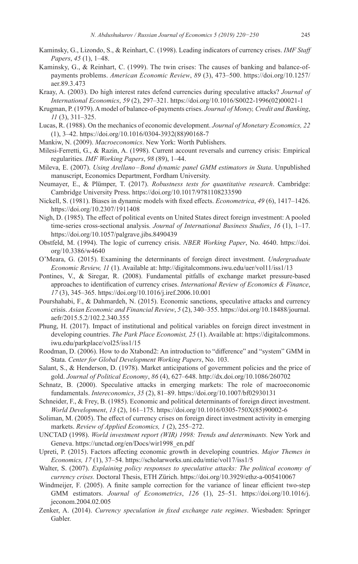- Kaminsky, G., Lizondo, S., & Reinhart, C. (1998). Leading indicators of currency crises. *IMF Staff Papers*, *45* (1), 1–48.
- Kaminsky, G., & Reinhart, C. (1999). The twin crises: The causes of banking and balance-ofpayments problems. *American Economic Review*, *89* (3), 473–500. [https://doi.org/10.1257/](https://doi.org/10.1257/aer.89.3.473) [aer.89.3.473](https://doi.org/10.1257/aer.89.3.473)
- Kraay, A. (2003). Do high interest rates defend currencies during speculative attacks? *Journal of International Economics*, *59* (2), 297–321. [https://doi.org/10.1016/S0022-1996\(02\)00021-1](https://doi.org/10.1016/S0022-1996(02)00021-1)
- Krugman, P. (1979). A model of balance-of-payments crises. *Journal of Money, Credit and Banking*, *11* (3), 311–325.
- Lucas, R. (1988). On the mechanics of economic development. *Journal of Monetary Economics, 22* (1), 3–42. [https://doi.org/10.1016/0304-3932\(88\)90168-7](https://doi.org/10.1016/0304-3932(88)90168-7)
- Mankiw, N. (2009). *Macroeconomics*. New York: Worth Publishers.
- Milesi-Ferretti, G., & Razin, A. (1998). Current account reversals and currency crisis: Empirical regularities. *IMF Working Papers*, *98* (89), 1–44.
- Mileva, E. (2007). *Using Arellano–Bond dynamic panel GMM estimators in Stata*. Unpublished manuscript, Economics Department, Fordham University.
- Neumayer, E., & Plümper, T. (2017). *Robustness tests for quantitative research*. Cambridge: Cambridge University Press. <https://doi.org/10.1017/9781108233590>
- Nickell, S. (1981). Biases in dynamic models with fixed effects. *Econometrica*, *49* (6), 1417–1426. <https://doi.org/10.2307/1911408>
- Nigh, D. (1985). The effect of political events on United States direct foreign investment: A pooled time-series cross-sectional analysis. *Journal of International Business Studies*, *16* (1), 1–17. <https://doi.org/10.1057/palgrave.jibs.8490439>
- Obstfeld, M. (1994). The logic of currency crisis. *NBER Working Paper*, No. 4640. [https://doi.](https://doi.org/10.3386/w4640) [org/10.3386/w4640](https://doi.org/10.3386/w4640)
- O'Meara, G. (2015). Examining the determinants of foreign direct investment. *Undergraduate Economic Review, 11* (1). Available at: <http://digitalcommons.iwu.edu/uer/vol11/iss1/13>
- Pontines, V., & Siregar, R. (2008). Fundamental pitfalls of exchange market pressure-based approaches to identification of currency crises. *International Review of Economics & Finance*, *17* (3), 345–365.<https://doi.org/10.1016/j.iref.2006.10.001>
- Pourshahabi, F., & Dahmardeh, N. (2015). Economic sanctions, speculative attacks and currency crisis. *Asian Economic and Financial Review*, *5* (2), 340–355. [https://doi.org/10.18488/journal.](https://doi.org/10.18488/journal.aefr/2015.5.2/102.2.340.355) [aefr/2015.5.2/102.2.340.355](https://doi.org/10.18488/journal.aefr/2015.5.2/102.2.340.355)
- Phung, H. (2017). Impact of institutional and political variables on foreign direct investment in developing countries. *The Park Place Economist, 25* (1). Available at: [https://digitalcommons.](https://digitalcommons.iwu.edu/parkplace/vol25/iss1/15) [iwu.edu/parkplace/vol25/iss1/15](https://digitalcommons.iwu.edu/parkplace/vol25/iss1/15)
- Roodman, D. (2006). How to do Xtabond2: An introduction to "difference" and "system" GMM in Stata. *Center for Global Development Working Papers*, No. 103.
- Salant, S., & Henderson, D. (1978). Market anticipations of government policies and the price of gold. *Journal of Political Economy*, *86* (4), 627–648.<http://dx.doi.org/10.1086/260702>
- Schnatz, B. (2000). Speculative attacks in emerging markets: The role of macroeconomic fundamentals. *Intereconomics*, *35* (2), 81–89.<https://doi.org/10.1007/bf02930131>
- Schneider, F., & Frey, B. (1985). Economic and political determinants of foreign direct investment. *World Development*, *13* (2), 161–175. [https://doi.org/10.1016/0305-750X\(85\)90002-6](https://doi.org/10.1016/0305-750X(85)90002-6)
- Soliman, M. (2005). The effect of currency crises on foreign direct investment activity in emerging markets. *Review of Applied Economics, 1* (2), 255–272.
- UNCTAD (1998). *World investment report (WIR) 1998: Trends and determinants.* New York and Geneva. [https://unctad.org/en/Docs/wir1998\\_en.pdf](https://unctad.org/en/Docs/wir1998_en.pdf)
- Upreti, P. (2015). Factors affecting economic growth in developing countries. *Major Themes in Economics, 17* (1), 37–54. <https://scholarworks.uni.edu/mtie/vol17/iss1/5>
- Walter, S. (2007). *Explaining policy responses to speculative attacks: The political economy of currency crises.* Doctoral Thesis, ETH Zürich. <https://doi.org/10.3929/ethz-a-005410067>
- Windmeijer, F. (2005). A finite sample correction for the variance of linear efficient two-step GMM estimators. *Journal of Econometrics*, *126* (1), 25–51. [https://doi.org/10.1016/j.](https://doi.org/10.1016/j.jeconom.2004.02.005) [jeconom.2004.02.005](https://doi.org/10.1016/j.jeconom.2004.02.005)
- Zenker, A. (2014). *Currency speculation in fixed exchange rate regimes*. Wiesbaden: Springer Gabler.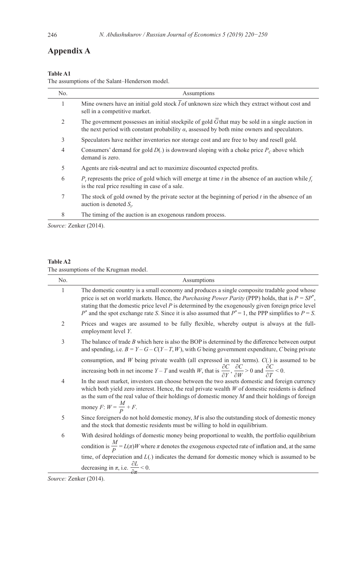# **Appendix A**

#### **Table A1**

The assumptions of the Salant–Henderson model.

| No.            | Assumptions                                                                                                                                                                                                   |
|----------------|---------------------------------------------------------------------------------------------------------------------------------------------------------------------------------------------------------------|
| 1              | Mine owners have an initial gold stock $\overline{I}$ of unknown size which they extract without cost and<br>sell in a competitive market.                                                                    |
| $\overline{2}$ | The government possesses an initial stockpile of gold $\bar{G}$ that may be sold in a single auction in<br>the next period with constant probability $\alpha$ , assessed by both mine owners and speculators. |
| 3              | Speculators have neither inventories nor storage cost and are free to buy and resell gold.                                                                                                                    |
| 4              | Consumers' demand for gold $D(.)$ is downward sloping with a choke price $P_c$ above which<br>demand is zero.                                                                                                 |
| 5              | Agents are risk-neutral and act to maximize discounted expected profits.                                                                                                                                      |
| 6              | P, represents the price of gold which will emerge at time t in the absence of an auction while $f_t$<br>is the real price resulting in case of a sale.                                                        |
| 7              | The stock of gold owned by the private sector at the beginning of period $t$ in the absence of an<br>auction is denoted $S_{\prime}$ .                                                                        |
| 8              | The timing of the auction is an exogenous random process.                                                                                                                                                     |

*Source:* Zenker (2014).

#### **Table A2**

The assumptions of the Krugman model.

| No.            | Assumptions                                                                                                                                                                                                                                                                                                                                                                                                                        |
|----------------|------------------------------------------------------------------------------------------------------------------------------------------------------------------------------------------------------------------------------------------------------------------------------------------------------------------------------------------------------------------------------------------------------------------------------------|
| 1              | The domestic country is a small economy and produces a single composite tradable good whose<br>price is set on world markets. Hence, the <i>Purchasing Power Parity</i> (PPP) holds, that is $P = SP^*$ ,<br>stating that the domestic price level $P$ is determined by the exogenously given foreign price level<br>$P^*$ and the spot exchange rate S. Since it is also assumed that $P^* = 1$ , the PPP simplifies to $P = S$ . |
| $\overline{2}$ | Prices and wages are assumed to be fully flexible, whereby output is always at the full-<br>employment level Y.                                                                                                                                                                                                                                                                                                                    |
| 3              | The balance of trade $B$ which here is also the BOP is determined by the difference between output<br>and spending, i.e. $B = Y - G - C(Y - T, W)$ , with G being government expenditure, C being private                                                                                                                                                                                                                          |
|                | consumption, and $W$ being private wealth (all expressed in real terms). $C(.)$ is assumed to be                                                                                                                                                                                                                                                                                                                                   |
|                | increasing both in net income $Y - T$ and wealth W, that is $\frac{\partial C}{\partial Y}, \frac{\partial C}{\partial W} > 0$ and $\frac{\partial C}{\partial T} < 0$ .                                                                                                                                                                                                                                                           |
| 4              | In the asset market, investors can choose between the two assets domestic and foreign currency<br>which both yield zero interest. Hence, the real private wealth $W$ of domestic residents is defined<br>as the sum of the real value of their holdings of domestic money $M$ and their holdings of foreign<br>money <i>F</i> : $W = \frac{M}{P} + F$ .                                                                            |
| 5              | Since foreigners do not hold domestic money, $M$ is also the outstanding stock of domestic money<br>and the stock that domestic residents must be willing to hold in equilibrium.                                                                                                                                                                                                                                                  |
| 6              | With desired holdings of domestic money being proportional to wealth, the portfolio equilibrium                                                                                                                                                                                                                                                                                                                                    |
|                | condition is $\frac{M}{P} = L(\pi)W$ where $\pi$ denotes the exogenous expected rate of inflation and, at the same                                                                                                                                                                                                                                                                                                                 |
|                | time, of depreciation and $L(.)$ indicates the demand for domestic money which is assumed to be                                                                                                                                                                                                                                                                                                                                    |
|                | decreasing in $\pi$ , i.e. $\frac{\partial L}{\partial \pi} < 0$ .                                                                                                                                                                                                                                                                                                                                                                 |

*Source:* Zenker (2014).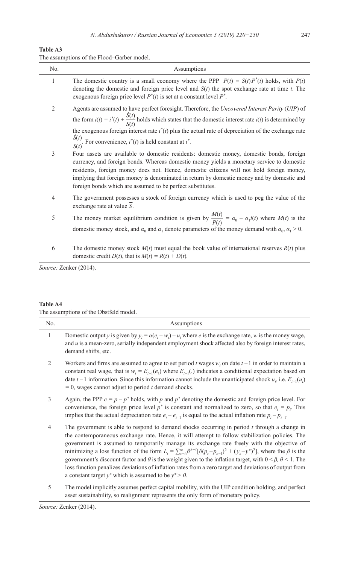| The assumptions of the Flood–Garber model. |  |  |  |
|--------------------------------------------|--|--|--|
|--------------------------------------------|--|--|--|

| No. | Assumptions                                                                                                                                                                                                                                                                                                                                                                                                                                   |
|-----|-----------------------------------------------------------------------------------------------------------------------------------------------------------------------------------------------------------------------------------------------------------------------------------------------------------------------------------------------------------------------------------------------------------------------------------------------|
| 1   | The domestic country is a small economy where the PPP $P(t) = S(t)P^{*}(t)$ holds, with $P(t)$<br>denoting the domestic and foreign price level and $S(t)$ the spot exchange rate at time t. The<br>exogenous foreign price level $P^*(t)$ is set at a constant level $P^*$ .                                                                                                                                                                 |
| 2   | Agents are assumed to have perfect foresight. Therefore, the Uncovered Interest Parity (UIP) of<br>the form $i(t) = i^*(t) + \frac{S(t)}{S(t)}$ holds which states that the domestic interest rate $i(t)$ is determined by<br>the exogenous foreign interest rate $i^*(t)$ plus the actual rate of depreciation of the exchange rate<br>$\frac{S(t)}{S(t)}$ . For convenience, $i^*(t)$ is held constant at $i^*$ .                           |
| 3   | Four assets are available to domestic residents: domestic money, domestic bonds, foreign<br>currency, and foreign bonds. Whereas domestic money yields a monetary service to domestic<br>residents, foreign money does not. Hence, domestic citizens will not hold foreign money,<br>implying that foreign money is denominated in return by domestic money and by domestic and<br>foreign bonds which are assumed to be perfect substitutes. |
| 4   | The government possesses a stock of foreign currency which is used to peg the value of the<br>exchange rate at value $\overline{S}$ .                                                                                                                                                                                                                                                                                                         |
| 5   | The money market equilibrium condition is given by $\frac{M(t)}{P(t)} = \alpha_0 - \alpha_1 i(t)$ where $M(t)$ is the<br>domestic money stock, and $\alpha_0$ and $\alpha_1$ denote parameters of the money demand with $\alpha_0$ , $\alpha_1 > 0$ .                                                                                                                                                                                         |
| 6   | The domestic money stock $M(t)$ must equal the book value of international reserves $R(t)$ plus<br>domestic credit $D(t)$ , that is $M(t) = R(t) + D(t)$ .                                                                                                                                                                                                                                                                                    |

*Source:* Zenker (2014).

#### **Table A4**

The assumptions of the Obstfeld model.

| No.            | Assumptions                                                                                                                                                                                                                                                                                                                                                                                                                                                                                                                                                                                                                                                                                                                                                    |
|----------------|----------------------------------------------------------------------------------------------------------------------------------------------------------------------------------------------------------------------------------------------------------------------------------------------------------------------------------------------------------------------------------------------------------------------------------------------------------------------------------------------------------------------------------------------------------------------------------------------------------------------------------------------------------------------------------------------------------------------------------------------------------------|
| $\mathbf{1}$   | Domestic output y is given by $y_t = \alpha(e_t - w_t) - u_t$ , where e is the exchange rate, w is the money wage,<br>and $u$ is a mean-zero, serially independent employment shock affected also by foreign interest rates,<br>demand shifts, etc.                                                                                                                                                                                                                                                                                                                                                                                                                                                                                                            |
| $\overline{2}$ | Workers and firms are assumed to agree to set period t wages $w_i$ , on date $t-1$ in order to maintain a<br>constant real wage, that is $w_t = E_{t-1}(e_t)$ where $E_{t-1}(\cdot)$ indicates a conditional expectation based on<br>date $t-1$ information. Since this information cannot include the unanticipated shock $u_r$ , i.e. $E_{t-1}(u_t)$<br>$= 0$ , wages cannot adjust to period t demand shocks.                                                                                                                                                                                                                                                                                                                                               |
| 3              | Again, the PPP $e = p - p^*$ holds, with p and $p^*$ denoting the domestic and foreign price level. For<br>convenience, the foreign price level $p^*$ is constant and normalized to zero, so that $e_i = p_i$ . This<br>implies that the actual depreciation rate $e_t - e_{t-1}$ is equal to the actual inflation rate $p_t - p_{t-1}$ .                                                                                                                                                                                                                                                                                                                                                                                                                      |
| 4              | The government is able to respond to demand shocks occurring in period $t$ through a change in<br>the contemporaneous exchange rate. Hence, it will attempt to follow stabilization policies. The<br>government is assumed to temporarily manage its exchange rate freely with the objective of<br>minimizing a loss function of the form $L_t = \sum_{s=t}^{\infty} \beta^{s-t} [\theta(p_s - p_{s-1})^2 + (y_s - y^*)^2]$ , where the $\beta$ is the<br>government's discount factor and $\theta$ is the weight given to the inflation target, with $0 < \beta$ , $\theta < 1$ . The<br>loss function penalizes deviations of inflation rates from a zero target and deviations of output from<br>a constant target $y^*$ which is assumed to be $y^* > 0$ . |
| 5              | The model implicitly assumes perfect capital mobility with the HIP condition holding and perfect                                                                                                                                                                                                                                                                                                                                                                                                                                                                                                                                                                                                                                                               |

5 The model implicitly assumes perfect capital mobility, with the UIP condition holding, and perfect asset sustainability, so realignment represents the only form of monetary policy.

*Source:* Zenker (2014).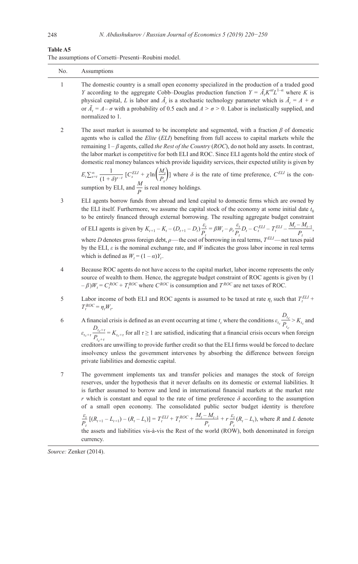#### **Table A5**

|  | The assumptions of Corsetti–Presenti–Roubini model. |  |  |  |  |  |
|--|-----------------------------------------------------|--|--|--|--|--|
|--|-----------------------------------------------------|--|--|--|--|--|

| No.        | Assumptions                                                                                                                                                                                                                                                                                                                                                                                                                                                                                                                                                                                                                                                                                                                                                         |
|------------|---------------------------------------------------------------------------------------------------------------------------------------------------------------------------------------------------------------------------------------------------------------------------------------------------------------------------------------------------------------------------------------------------------------------------------------------------------------------------------------------------------------------------------------------------------------------------------------------------------------------------------------------------------------------------------------------------------------------------------------------------------------------|
| 1          | The domestic country is a small open economy specialized in the production of a traded good<br>Y according to the aggregate Cobb-Douglas production function $Y = \tilde{A}_t K^{\alpha t} L^{1-\alpha}$ where K is<br>physical capital, L is labor and $\tilde{A}_t$ is a stochastic technology parameter which is $\tilde{A}_t = A + \sigma$<br>or $\tilde{A}_t = A - \sigma$ with a probability of 0.5 each and $A > \sigma > 0$ . Labor is inelastically supplied, and<br>normalized to 1.                                                                                                                                                                                                                                                                      |
| $\sqrt{2}$ | The asset market is assumed to be incomplete and segmented, with a fraction $\beta$ of domestic<br>agents who is called the Elite (ELI) benefiting from full access to capital markets while the<br>remaining $1 - \beta$ agents, called the Rest of the Country (ROC), do not hold any assets. In contrast,<br>the labor market is competitive for both ELI and ROC. Since ELI agents hold the entire stock of<br>domestic real money balances which provide liquidity services, their expected utility is given by<br>$E_t \sum_{s=t}^{\infty} \frac{1}{(1+\delta)^{s-t}} [C_s^{ELI} + \chi \ln \left( \frac{M_s}{P} \right)]$ where $\delta$ is the rate of time preference, $C^{ELI}$ is the con-<br>sumption by ELI, and $\frac{M}{p}$ is real money holdings. |
| 3          | ELI agents borrow funds from abroad and lend capital to domestic firms which are owned by<br>the ELI itself. Furthermore, we assume the capital stock of the economy at some initial date $t_0$<br>to be entirely financed through external borrowing. The resulting aggregate budget constraint                                                                                                                                                                                                                                                                                                                                                                                                                                                                    |
|            | of ELI agents is given by $K_{t+1} - K_t - (D_{t+1} - D_t) \frac{\varepsilon_t}{P_t} = \beta W_t - \rho_t \frac{\varepsilon_t}{P_t} D_t - C_t^{ELI} - T_t^{ELI} - \frac{M_t - M_{t-1}}{P_t}$ ,<br>where D denotes gross foreign debt, $\rho$ —the cost of borrowing in real terms, $T^{ELI}$ —net taxes paid<br>by the ELI, $\varepsilon$ is the nominal exchange rate, and W indicates the gross labor income in real terms<br>which is defined as $W_t = (1 - \alpha)Y_t$ .                                                                                                                                                                                                                                                                                       |
| 4          | Because ROC agents do not have access to the capital market, labor income represents the only<br>source of wealth to them. Hence, the aggregate budget constraint of ROC agents is given by (1<br>$-\beta$ ) $W_t = C_t^{ROC} + T_t^{ROC}$ where $C^{ROC}$ is consumption and $T^{ROC}$ are net taxes of ROC.                                                                                                                                                                                                                                                                                                                                                                                                                                                       |
| 5          | Labor income of both ELI and ROC agents is assumed to be taxed at rate $\eta_t$ such that $T_t^{ELI}$ +<br>$T_t^{ROC} = \eta_t W_t.$                                                                                                                                                                                                                                                                                                                                                                                                                                                                                                                                                                                                                                |
| 6          | A financial crisis is defined as an event occurring at time $t_c$ where the conditions $\varepsilon_{t_c} \frac{D_{t_c}}{P} > K_{t_c}$ and<br>$\varepsilon_{t_{c}+r} \frac{D_{t_{c}+r}}{P_{t_{c}+r}} = K_{t_{c}+r}$ for all $\tau \ge 1$ are satisfied, indicating that a financial crisis occurs when foreign<br>creditors are unwilling to provide further credit so that the ELI firms would be forced to declare<br>insolvency unless the government intervenes by absorbing the difference between foreign<br>private liabilities and domestic capital.                                                                                                                                                                                                        |
| 7          | The government implements tax and transfer policies and manages the stock of foreign<br>reserves, under the hypothesis that it never defaults on its domestic or external liabilities. It<br>is further assumed to borrow and lend in international financial markets at the market rate<br>r which is constant and equal to the rate of time preference $\delta$ according to the assumption<br>of a small open economy. The consolidated public sector budget identity is therefore                                                                                                                                                                                                                                                                               |
|            | $\frac{\varepsilon_t}{P_t}$ [(R <sub>t+1</sub> - L <sub>t+1</sub> ) – (R <sub>t</sub> - L <sub>t</sub> )] = $T_t^{ELI}$ + $T_t^{ROC}$ + $\frac{M_t - M_{t-1}}{P_t}$ + $r \frac{\varepsilon_t}{P_t}$ (R <sub>t</sub> - L <sub>t</sub> ), where R and L denote<br>the assets and liabilities vis-à-vis the Rest of the world (ROW), both denominated in foreign<br>currency.                                                                                                                                                                                                                                                                                                                                                                                          |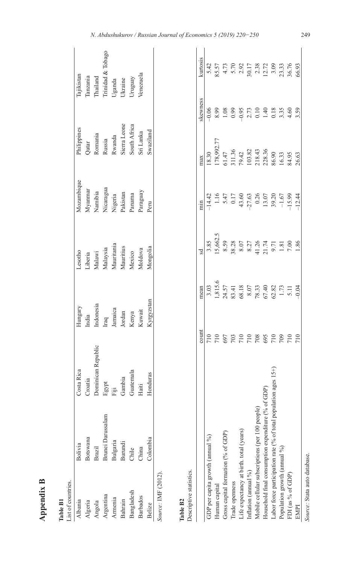| r<br>г |  |
|--------|--|
|        |  |
|        |  |
| c      |  |
|        |  |

| ٠<br>┍ |
|--------|
| c      |
| Ξ      |

| ist of countries.  |                   |                   |                           |                                             |                                            |                                           |                                                                           |
|--------------------|-------------------|-------------------|---------------------------|---------------------------------------------|--------------------------------------------|-------------------------------------------|---------------------------------------------------------------------------|
| <b>lbania</b>      | Bolivia           | Costa Rica        | Hungary                   | Lesotho                                     | Mozambique                                 | <sup>p</sup> hilippines                   | Tajikistan                                                                |
| <b>Algeria</b>     | sotswana          | roatia            | India                     |                                             | $Myamnar$<br>Namibia                       |                                           |                                                                           |
| higola             | Brazil            | ominican Republic | Indonesia                 |                                             |                                            | Qatar<br>Romania                          |                                                                           |
| Argentina          | Brunei Darussalam |                   | Iraq<br>Jamaica           | Liberia<br>Malawi<br>Malaysia<br>Mauritania | Nicaragua<br>Nigeria<br>Pakistan<br>Panama | Russia<br>Rwanda                          | Tanzania<br>Thailand<br>Trinidad & Tobago<br>Uganda<br>Ukraine<br>Ukraine |
| Armenia            | Bulgaria          | gypt<br>iji       |                           |                                             |                                            |                                           |                                                                           |
| Bahrain            | Burundi           | Gambia            |                           |                                             |                                            | Sierra Leone<br>South Africa<br>Sri Lanka |                                                                           |
| Bangladesh         | Chile<br>Chile    | Guatemala         | Jordan<br>Kenya<br>Kuwait | Mauritius<br>Mexico                         |                                            |                                           |                                                                           |
| <b>Barbados</b>    | China             | laiti             |                           | Moldova                                     | yaraguay                                   |                                           | Venezuela                                                                 |
| Relize             | Colombia          | onduras           | <b>Zyrgyzstan</b>         | Mongolia                                    | $P$ eru                                    | swaziland                                 |                                                                           |
| ource: IMF (2012). |                   |                   |                           |                                             |                                            |                                           |                                                                           |

|                                                                        | count                          | mean | sd                                                                                                                                | min   | max <sub>k</sub>                                                                                                                                         | kewness | kurtosis |
|------------------------------------------------------------------------|--------------------------------|------|-----------------------------------------------------------------------------------------------------------------------------------|-------|----------------------------------------------------------------------------------------------------------------------------------------------------------|---------|----------|
| GDP per capita growth (annual %)                                       | 710                            |      |                                                                                                                                   | 14.42 | 8.30                                                                                                                                                     |         |          |
| Human capital                                                          |                                |      |                                                                                                                                   |       |                                                                                                                                                          |         |          |
| Gross capital formation (% of GDP)                                     |                                |      |                                                                                                                                   |       |                                                                                                                                                          |         |          |
| Trade openness                                                         | $\frac{0.02}{0.02}$            |      |                                                                                                                                   |       |                                                                                                                                                          |         |          |
| Life expectancy at birth. total (years)                                |                                |      |                                                                                                                                   |       |                                                                                                                                                          |         |          |
| Inflation (annual %)                                                   | 710                            |      |                                                                                                                                   |       |                                                                                                                                                          |         |          |
| Mobile cellular subscriptions (per 100 people)                         | 01<br>001<br>001<br>001<br>001 |      | $\begin{array}{c} 3.85 \\ 15,662.5 \\ 8.59 \\ 8.38 \\ 8.07 \\ 8.27 \\ 4.126 \\ -1.81 \\ 7.13 \\ 7.00 \\ 7.00 \\ 1.86 \end{array}$ |       | $\begin{array}{l} 178,992.77\\ 178,992.71\\ 61.47\\ 311.36\\ 79.42\\ 79.82\\ 218.43\\ 218.36\\ 86.90\\ 86.9\\ 86.3\\ 86.43\\ 86.3\\ 86.63\\ \end{array}$ |         |          |
| Household final consumption expenditure (% of                          |                                |      |                                                                                                                                   |       |                                                                                                                                                          |         |          |
| $10n$ ages $15+$<br>Labor force participation rate (% of total popular |                                |      |                                                                                                                                   |       |                                                                                                                                                          |         |          |
| Population growth (annual %)                                           |                                |      |                                                                                                                                   |       |                                                                                                                                                          |         |          |
| FDI (as % of GDP)                                                      |                                |      |                                                                                                                                   |       |                                                                                                                                                          |         |          |
| <b>EMPI</b>                                                            | 710                            |      |                                                                                                                                   |       |                                                                                                                                                          |         |          |

 $\overline{\phantom{a}}$